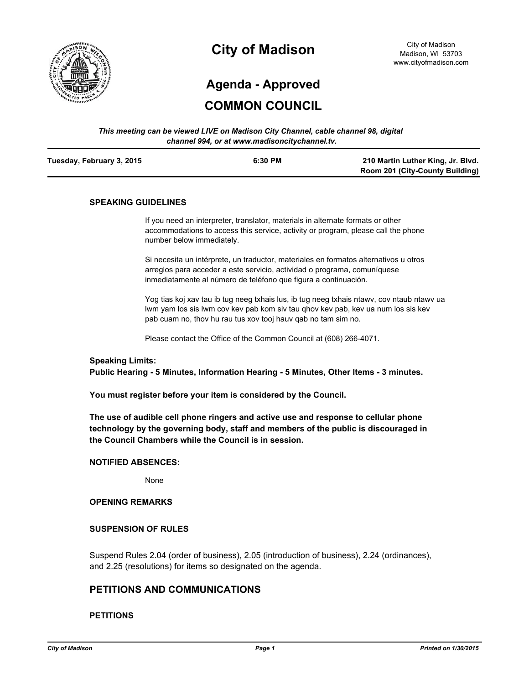

# **City of Madison**

City of Madison Madison, WI 53703 www.cityofmadison.com

# **Agenda - Approved**

## **COMMON COUNCIL**

#### *This meeting can be viewed LIVE on Madison City Channel, cable channel 98, digital channel 994, or at www.madisoncitychannel.tv.*

| Tuesday, February 3, 2015 | 6:30 PM | 210 Martin Luther King, Jr. Blvd. |
|---------------------------|---------|-----------------------------------|
|                           |         | Room 201 (City-County Building)   |

#### **SPEAKING GUIDELINES**

If you need an interpreter, translator, materials in alternate formats or other accommodations to access this service, activity or program, please call the phone number below immediately.

Si necesita un intérprete, un traductor, materiales en formatos alternativos u otros arreglos para acceder a este servicio, actividad o programa, comuníquese inmediatamente al número de teléfono que figura a continuación.

Yog tias koj xav tau ib tug neeg txhais lus, ib tug neeg txhais ntawv, cov ntaub ntawv ua lwm yam los sis lwm cov kev pab kom siv tau qhov kev pab, kev ua num los sis kev pab cuam no, thov hu rau tus xov tooj hauv qab no tam sim no.

Please contact the Office of the Common Council at (608) 266-4071.

#### **Speaking Limits:**

**Public Hearing - 5 Minutes, Information Hearing - 5 Minutes, Other Items - 3 minutes.**

**You must register before your item is considered by the Council.**

**The use of audible cell phone ringers and active use and response to cellular phone technology by the governing body, staff and members of the public is discouraged in the Council Chambers while the Council is in session.**

#### **NOTIFIED ABSENCES:**

None

#### **OPENING REMARKS**

#### **SUSPENSION OF RULES**

Suspend Rules 2.04 (order of business), 2.05 (introduction of business), 2.24 (ordinances), and 2.25 (resolutions) for items so designated on the agenda.

## **PETITIONS AND COMMUNICATIONS**

#### **PETITIONS**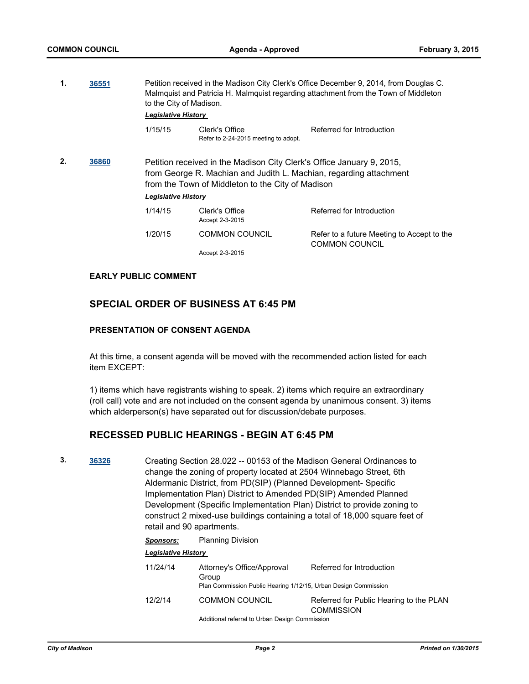**1. [36551](http://madison.legistar.com/gateway.aspx?m=l&id=/matter.aspx?key=39491)** Petition received in the Madison City Clerk's Office December 9, 2014, from Douglas C.

| л.<br>36551 |  | Petition received in the Madison City Clerk's Office December 9, 2014, from Douglas C.<br>Malmquist and Patricia H. Malmquist regarding attachment from the Town of Middleton<br>to the City of Madison.<br><b>Legislative History</b> |                                                        |                                                                                                                                             |  |
|-------------|--|----------------------------------------------------------------------------------------------------------------------------------------------------------------------------------------------------------------------------------------|--------------------------------------------------------|---------------------------------------------------------------------------------------------------------------------------------------------|--|
|             |  | 1/15/15                                                                                                                                                                                                                                | Clerk's Office<br>Refer to 2-24-2015 meeting to adopt. | Referred for Introduction                                                                                                                   |  |
| 2.<br>36860 |  | <b>Legislative History</b>                                                                                                                                                                                                             | from the Town of Middleton to the City of Madison      | Petition received in the Madison City Clerk's Office January 9, 2015,<br>from George R. Machian and Judith L. Machian, regarding attachment |  |
|             |  | 1/14/15                                                                                                                                                                                                                                | Clerk's Office<br>Accept 2-3-2015                      | Referred for Introduction                                                                                                                   |  |
|             |  | 1/20/15                                                                                                                                                                                                                                | <b>COMMON COUNCIL</b>                                  | Refer to a future Meeting to Accept to the<br><b>COMMON COUNCIL</b>                                                                         |  |
|             |  |                                                                                                                                                                                                                                        | Accept 2-3-2015                                        |                                                                                                                                             |  |

#### **EARLY PUBLIC COMMENT**

## **SPECIAL ORDER OF BUSINESS AT 6:45 PM**

## **PRESENTATION OF CONSENT AGENDA**

At this time, a consent agenda will be moved with the recommended action listed for each item EXCEPT:

1) items which have registrants wishing to speak. 2) items which require an extraordinary (roll call) vote and are not included on the consent agenda by unanimous consent. 3) items which alderperson(s) have separated out for discussion/debate purposes.

## **RECESSED PUBLIC HEARINGS - BEGIN AT 6:45 PM**

**3. [36326](http://madison.legistar.com/gateway.aspx?m=l&id=/matter.aspx?key=39329)** Creating Section 28.022 -- 00153 of the Madison General Ordinances to change the zoning of property located at 2504 Winnebago Street, 6th Aldermanic District, from PD(SIP) (Planned Development- Specific Implementation Plan) District to Amended PD(SIP) Amended Planned Development (Specific Implementation Plan) District to provide zoning to construct 2 mixed-use buildings containing a total of 18,000 square feet of retail and 90 apartments.

#### *Sponsors:* Planning Division

| <b>Legislative History</b> |                                                                                                        |                                                              |
|----------------------------|--------------------------------------------------------------------------------------------------------|--------------------------------------------------------------|
| 11/24/14                   | Attorney's Office/Approval<br>Group<br>Plan Commission Public Hearing 1/12/15, Urban Design Commission | Referred for Introduction                                    |
| 12/2/14                    | <b>COMMON COUNCIL</b>                                                                                  | Referred for Public Hearing to the PLAN<br><b>COMMISSION</b> |
|                            | Additional referral to Urban Design Commission                                                         |                                                              |

Additional referral to Urban Design Commi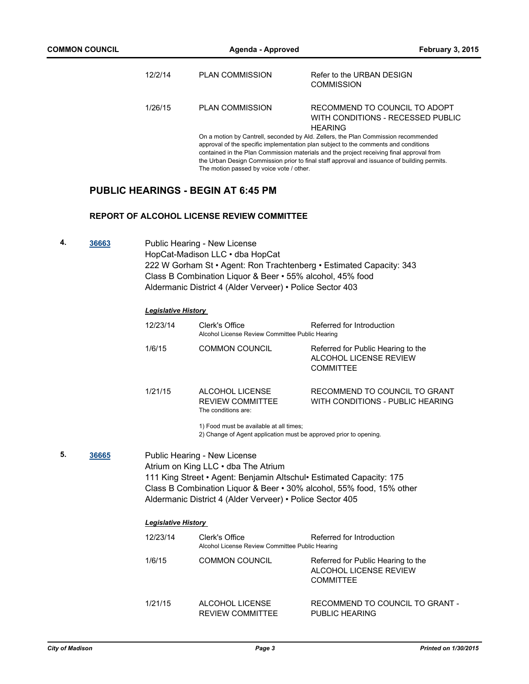| 12/2/14 | <b>PLAN COMMISSION</b> | Refer to the URBAN DESIGN<br><b>COMMISSION</b>                                       |
|---------|------------------------|--------------------------------------------------------------------------------------|
| 1/26/15 | <b>PLAN COMMISSION</b> | RECOMMEND TO COUNCIL TO ADOPT<br>WITH CONDITIONS - RECESSED PUBLIC<br><b>HFARING</b> |
|         |                        | On a motion by Cantrell, seconded by Ald. Zellers, the Plan Commission recommended   |

approval of the specific implementation plan subject to the comments and conditions contained in the Plan Commission materials and the project receiving final approval from the Urban Design Commission prior to final staff approval and issuance of building permits. The motion passed by voice vote / other.

## **PUBLIC HEARINGS - BEGIN AT 6:45 PM**

#### **REPORT OF ALCOHOL LICENSE REVIEW COMMITTEE**

**4. [36663](http://madison.legistar.com/gateway.aspx?m=l&id=/matter.aspx?key=39596)** Public Hearing - New License HopCat-Madison LLC • dba HopCat 222 W Gorham St • Agent: Ron Trachtenberg • Estimated Capacity: 343 Class B Combination Liquor & Beer • 55% alcohol, 45% food Aldermanic District 4 (Alder Verveer) • Police Sector 403

## *Legislative History*

| 12/23/14            | Clerk's Office<br>Alcohol License Review Committee Public Hearing                                                                                                                                                                                                                | Referred for Introduction                                                        |
|---------------------|----------------------------------------------------------------------------------------------------------------------------------------------------------------------------------------------------------------------------------------------------------------------------------|----------------------------------------------------------------------------------|
| 1/6/15              | <b>COMMON COUNCIL</b>                                                                                                                                                                                                                                                            | Referred for Public Hearing to the<br>ALCOHOL LICENSE REVIEW<br><b>COMMITTEE</b> |
| 1/21/15             | ALCOHOL LICENSE<br><b>REVIEW COMMITTEE</b><br>The conditions are:                                                                                                                                                                                                                | RECOMMEND TO COUNCIL TO GRANT<br>WITH CONDITIONS - PUBLIC HEARING                |
|                     | 1) Food must be available at all times;<br>2) Change of Agent application must be approved prior to opening.                                                                                                                                                                     |                                                                                  |
|                     | Public Hearing - New License<br>Atrium on King LLC • dba The Atrium<br>111 King Street • Agent: Benjamin Altschul • Estimated Capacity: 175<br>Class B Combination Liquor & Beer • 30% alcohol, 55% food, 15% other<br>Aldermanic District 4 (Alder Verveer) • Police Sector 405 |                                                                                  |
| Legislative History |                                                                                                                                                                                                                                                                                  |                                                                                  |

| 12/23/14 | Clerk's Office<br>Alcohol License Review Committee Public Hearing | Referred for Introduction                                                        |
|----------|-------------------------------------------------------------------|----------------------------------------------------------------------------------|
| 1/6/15   | <b>COMMON COUNCIL</b>                                             | Referred for Public Hearing to the<br>ALCOHOL LICENSE REVIEW<br><b>COMMITTEE</b> |
| 1/21/15  | ALCOHOL LICENSE<br><b>REVIEW COMMITTEE</b>                        | RECOMMEND TO COUNCIL TO GRANT -<br>PUBLIC HEARING                                |

**5. [36665](http://madison.legistar.com/gateway.aspx?m=l&id=/matter.aspx?key=39598)**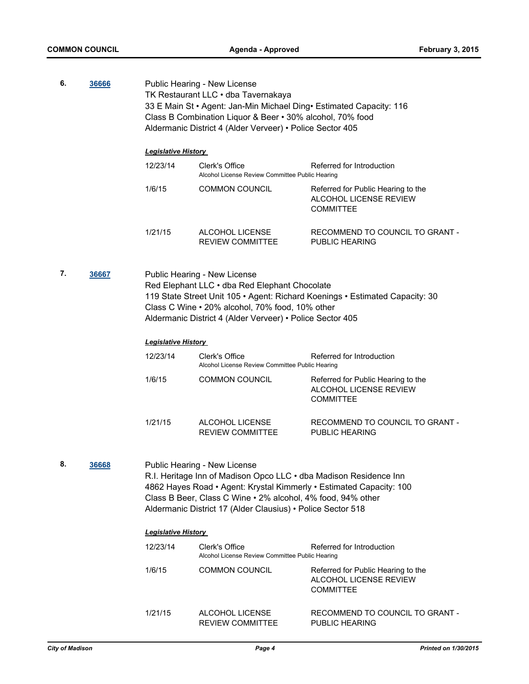| 6.                                                                                                                                                                                                                                                                                           | 36666 | Public Hearing - New License<br>TK Restaurant LLC · dba Tavernakaya<br>33 E Main St · Agent: Jan-Min Michael Ding · Estimated Capacity: 116<br>Class B Combination Liquor & Beer • 30% alcohol, 70% food<br>Aldermanic District 4 (Alder Verveer) • Police Sector 405 |                                                                                                                                                                                                                                                                                                               |                                                                                  |
|----------------------------------------------------------------------------------------------------------------------------------------------------------------------------------------------------------------------------------------------------------------------------------------------|-------|-----------------------------------------------------------------------------------------------------------------------------------------------------------------------------------------------------------------------------------------------------------------------|---------------------------------------------------------------------------------------------------------------------------------------------------------------------------------------------------------------------------------------------------------------------------------------------------------------|----------------------------------------------------------------------------------|
|                                                                                                                                                                                                                                                                                              |       | <b>Legislative History</b>                                                                                                                                                                                                                                            |                                                                                                                                                                                                                                                                                                               |                                                                                  |
|                                                                                                                                                                                                                                                                                              |       | 12/23/14                                                                                                                                                                                                                                                              | Clerk's Office<br>Alcohol License Review Committee Public Hearing                                                                                                                                                                                                                                             | Referred for Introduction                                                        |
|                                                                                                                                                                                                                                                                                              |       | 1/6/15                                                                                                                                                                                                                                                                | <b>COMMON COUNCIL</b>                                                                                                                                                                                                                                                                                         | Referred for Public Hearing to the<br>ALCOHOL LICENSE REVIEW<br><b>COMMITTEE</b> |
|                                                                                                                                                                                                                                                                                              |       | 1/21/15                                                                                                                                                                                                                                                               | ALCOHOL LICENSE<br><b>REVIEW COMMITTEE</b>                                                                                                                                                                                                                                                                    | RECOMMEND TO COUNCIL TO GRANT -<br>PUBLIC HEARING                                |
| 7.<br>36667<br>Public Hearing - New License<br>Red Elephant LLC . dba Red Elephant Chocolate<br>119 State Street Unit 105 · Agent: Richard Koenings · Estimated Capacity: 30<br>Class C Wine • 20% alcohol, 70% food, 10% other<br>Aldermanic District 4 (Alder Verveer) • Police Sector 405 |       |                                                                                                                                                                                                                                                                       |                                                                                                                                                                                                                                                                                                               |                                                                                  |
|                                                                                                                                                                                                                                                                                              |       | <b>Legislative History</b>                                                                                                                                                                                                                                            |                                                                                                                                                                                                                                                                                                               |                                                                                  |
|                                                                                                                                                                                                                                                                                              |       | 12/23/14                                                                                                                                                                                                                                                              | Clerk's Office<br>Alcohol License Review Committee Public Hearing                                                                                                                                                                                                                                             | Referred for Introduction                                                        |
|                                                                                                                                                                                                                                                                                              |       | 1/6/15                                                                                                                                                                                                                                                                | <b>COMMON COUNCIL</b>                                                                                                                                                                                                                                                                                         | Referred for Public Hearing to the<br>ALCOHOL LICENSE REVIEW<br><b>COMMITTEE</b> |
|                                                                                                                                                                                                                                                                                              |       | 1/21/15                                                                                                                                                                                                                                                               | ALCOHOL LICENSE<br><b>REVIEW COMMITTEE</b>                                                                                                                                                                                                                                                                    | RECOMMEND TO COUNCIL TO GRANT -<br>PUBLIC HEARING                                |
| 8.                                                                                                                                                                                                                                                                                           | 36668 |                                                                                                                                                                                                                                                                       | <b>Public Hearing - New License</b><br>R.I. Heritage Inn of Madison Opco LLC . dba Madison Residence Inn<br>4862 Hayes Road • Agent: Krystal Kimmerly • Estimated Capacity: 100<br>Class B Beer, Class C Wine • 2% alcohol, 4% food, 94% other<br>Aldermanic District 17 (Alder Clausius) • Police Sector 518 |                                                                                  |
|                                                                                                                                                                                                                                                                                              |       | <b>Legislative History</b>                                                                                                                                                                                                                                            |                                                                                                                                                                                                                                                                                                               |                                                                                  |
|                                                                                                                                                                                                                                                                                              |       | 12/23/14                                                                                                                                                                                                                                                              | Clerk's Office<br>Alcohol License Review Committee Public Hearing                                                                                                                                                                                                                                             | Referred for Introduction                                                        |
|                                                                                                                                                                                                                                                                                              |       | 1/6/15                                                                                                                                                                                                                                                                | <b>COMMON COUNCIL</b>                                                                                                                                                                                                                                                                                         | Referred for Public Hearing to the<br>ALCOHOL LICENSE REVIEW<br><b>COMMITTEE</b> |
|                                                                                                                                                                                                                                                                                              |       | 1/21/15                                                                                                                                                                                                                                                               | ALCOHOL LICENSE<br><b>REVIEW COMMITTEE</b>                                                                                                                                                                                                                                                                    | RECOMMEND TO COUNCIL TO GRANT -<br><b>PUBLIC HEARING</b>                         |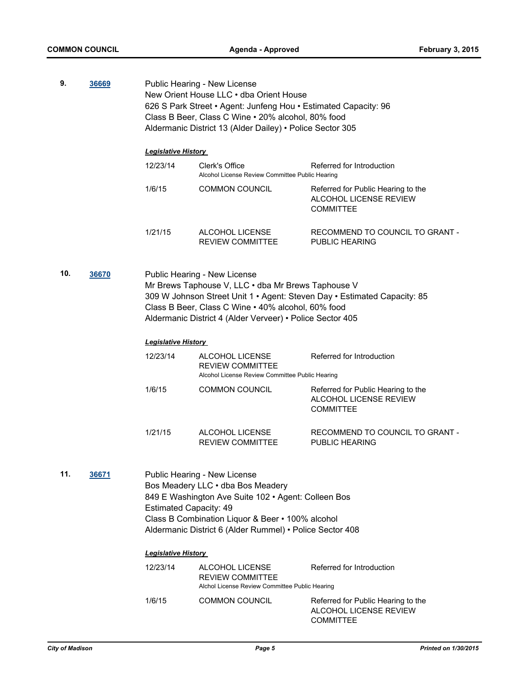| 9.           | 36669 | Public Hearing - New License<br>New Orient House LLC . dba Orient House<br>626 S Park Street • Agent: Junfeng Hou • Estimated Capacity: 96<br>Class B Beer, Class C Wine . 20% alcohol, 80% food<br>Aldermanic District 13 (Alder Dailey) • Police Sector 305                     |                                                                                                                                                                                                                                          |                                                                                  |
|--------------|-------|-----------------------------------------------------------------------------------------------------------------------------------------------------------------------------------------------------------------------------------------------------------------------------------|------------------------------------------------------------------------------------------------------------------------------------------------------------------------------------------------------------------------------------------|----------------------------------------------------------------------------------|
|              |       | <b>Legislative History</b>                                                                                                                                                                                                                                                        |                                                                                                                                                                                                                                          |                                                                                  |
|              |       | 12/23/14                                                                                                                                                                                                                                                                          | Clerk's Office<br>Alcohol License Review Committee Public Hearing                                                                                                                                                                        | Referred for Introduction                                                        |
|              |       | 1/6/15                                                                                                                                                                                                                                                                            | <b>COMMON COUNCIL</b>                                                                                                                                                                                                                    | Referred for Public Hearing to the<br>ALCOHOL LICENSE REVIEW<br><b>COMMITTEE</b> |
|              |       | 1/21/15                                                                                                                                                                                                                                                                           | ALCOHOL LICENSE<br><b>REVIEW COMMITTEE</b>                                                                                                                                                                                               | RECOMMEND TO COUNCIL TO GRANT -<br><b>PUBLIC HEARING</b>                         |
| 10.<br>36670 |       | Public Hearing - New License<br>Mr Brews Taphouse V, LLC · dba Mr Brews Taphouse V<br>309 W Johnson Street Unit 1 · Agent: Steven Day · Estimated Capacity: 85<br>Class B Beer, Class C Wine . 40% alcohol, 60% food<br>Aldermanic District 4 (Alder Verveer) • Police Sector 405 |                                                                                                                                                                                                                                          |                                                                                  |
|              |       | <b>Legislative History</b>                                                                                                                                                                                                                                                        |                                                                                                                                                                                                                                          |                                                                                  |
|              |       | 12/23/14                                                                                                                                                                                                                                                                          | ALCOHOL LICENSE<br>REVIEW COMMITTEE<br>Alcohol License Review Committee Public Hearing                                                                                                                                                   | Referred for Introduction                                                        |
|              |       | 1/6/15                                                                                                                                                                                                                                                                            | <b>COMMON COUNCIL</b>                                                                                                                                                                                                                    | Referred for Public Hearing to the<br>ALCOHOL LICENSE REVIEW<br><b>COMMITTEE</b> |
|              |       | 1/21/15                                                                                                                                                                                                                                                                           | ALCOHOL LICENSE<br><b>REVIEW COMMITTEE</b>                                                                                                                                                                                               | RECOMMEND TO COUNCIL TO GRANT -<br>PUBLIC HEARING                                |
| 11.          | 36671 | <b>Estimated Capacity: 49</b>                                                                                                                                                                                                                                                     | Public Hearing - New License<br>Bos Meadery LLC . dba Bos Meadery<br>849 E Washington Ave Suite 102 · Agent: Colleen Bos<br>Class B Combination Liquor & Beer . 100% alcohol<br>Aldermanic District 6 (Alder Rummel) • Police Sector 408 |                                                                                  |
|              |       | <b>Legislative History</b>                                                                                                                                                                                                                                                        |                                                                                                                                                                                                                                          |                                                                                  |
|              |       | 12/23/14                                                                                                                                                                                                                                                                          | ALCOHOL LICENSE<br><b>REVIEW COMMITTEE</b><br>Alchol License Review Committee Public Hearing                                                                                                                                             | Referred for Introduction                                                        |
|              |       | 1/6/15                                                                                                                                                                                                                                                                            | <b>COMMON COUNCIL</b>                                                                                                                                                                                                                    | Referred for Public Hearing to the<br>ALCOHOL LICENSE REVIEW<br><b>COMMITTEE</b> |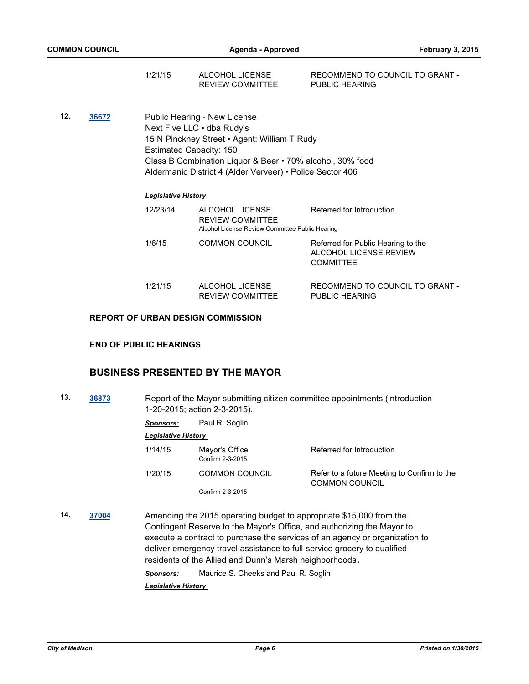| 1/21/15 | ALCOHOL LICENSE  | RECOMMEND TO COUNCIL TO GRANT - |
|---------|------------------|---------------------------------|
|         | REVIEW COMMITTEE | PUBLIC HEARING                  |

**12. [36672](http://madison.legistar.com/gateway.aspx?m=l&id=/matter.aspx?key=39605)** Public Hearing - New License Next Five LLC • dba Rudy's 15 N Pinckney Street • Agent: William T Rudy Estimated Capacity: 150 Class B Combination Liquor & Beer • 70% alcohol, 30% food Aldermanic District 4 (Alder Verveer) • Police Sector 406

#### *Legislative History*

| 12/23/14 | ALCOHOL LICENSE<br><b>REVIEW COMMITTEE</b><br>Alcohol License Review Committee Public Hearing | Referred for Introduction                                                        |
|----------|-----------------------------------------------------------------------------------------------|----------------------------------------------------------------------------------|
| 1/6/15   | <b>COMMON COUNCIL</b>                                                                         | Referred for Public Hearing to the<br>ALCOHOL LICENSE REVIEW<br><b>COMMITTEE</b> |
| 1/21/15  | ALCOHOL LICENSE<br><b>REVIEW COMMITTEE</b>                                                    | RECOMMEND TO COUNCIL TO GRANT -<br>PUBLIC HEARING                                |

## **REPORT OF URBAN DESIGN COMMISSION**

#### **END OF PUBLIC HEARINGS**

## **BUSINESS PRESENTED BY THE MAYOR**

**13. [36873](http://madison.legistar.com/gateway.aspx?m=l&id=/matter.aspx?key=39772)** Report of the Mayor submitting citizen committee appointments (introduction 1-20-2015; action 2-3-2015).

| Sponsors: | Paul R. Soglin |
|-----------|----------------|

#### *Legislative History*

| 1/14/15 | Mayor's Office<br>Confirm 2-3-2015 | Referred for Introduction                                            |
|---------|------------------------------------|----------------------------------------------------------------------|
| 1/20/15 | <b>COMMON COUNCIL</b>              | Refer to a future Meeting to Confirm to the<br><b>COMMON COUNCIL</b> |
|         | Confirm 2-3-2015                   |                                                                      |

**14. [37004](http://madison.legistar.com/gateway.aspx?m=l&id=/matter.aspx?key=39888)** Amending the 2015 operating budget to appropriate \$15,000 from the Contingent Reserve to the Mayor's Office, and authorizing the Mayor to execute a contract to purchase the services of an agency or organization to deliver emergency travel assistance to full-service grocery to qualified residents of the Allied and Dunn's Marsh neighborhoods**.**

*Sponsors:* Maurice S. Cheeks and Paul R. Soglin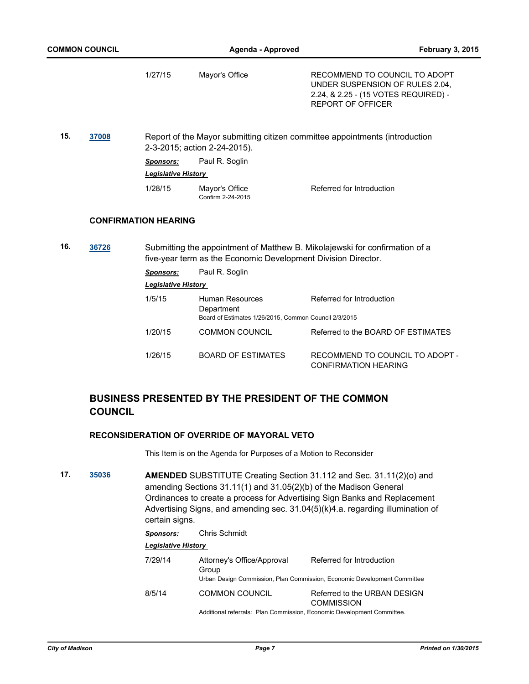|     |       | 1/27/15                     | Mayor's Office                                                                         | RECOMMEND TO COUNCIL TO ADOPT<br>UNDER SUSPENSION OF RULES 2.04,<br>2.24, & 2.25 - (15 VOTES REQUIRED) -<br><b>REPORT OF OFFICER</b> |
|-----|-------|-----------------------------|----------------------------------------------------------------------------------------|--------------------------------------------------------------------------------------------------------------------------------------|
| 15. | 37008 |                             | 2-3-2015; action 2-24-2015).                                                           | Report of the Mayor submitting citizen committee appointments (introduction                                                          |
|     |       | <b>Sponsors:</b>            | Paul R. Soglin                                                                         |                                                                                                                                      |
|     |       | <b>Legislative History</b>  |                                                                                        |                                                                                                                                      |
|     |       | 1/28/15                     | Mayor's Office<br>Confirm 2-24-2015                                                    | Referred for Introduction                                                                                                            |
|     |       | <b>CONFIRMATION HEARING</b> |                                                                                        |                                                                                                                                      |
| 16. | 36726 |                             | five-year term as the Economic Development Division Director.                          | Submitting the appointment of Matthew B. Mikolajewski for confirmation of a                                                          |
|     |       | <b>Sponsors:</b>            | Paul R. Soglin                                                                         |                                                                                                                                      |
|     |       | <b>Legislative History</b>  |                                                                                        |                                                                                                                                      |
|     |       | 1/5/15                      | Human Resources<br>Department<br>Board of Estimates 1/26/2015, Common Council 2/3/2015 | Referred for Introduction                                                                                                            |
|     |       | 1/20/15                     | <b>COMMON COUNCIL</b>                                                                  | Referred to the BOARD OF ESTIMATES                                                                                                   |
|     |       | 1/26/15                     | <b>BOARD OF ESTIMATES</b>                                                              | RECOMMEND TO COUNCIL TO ADOPT -<br><b>CONFIRMATION HEARING</b>                                                                       |

## **BUSINESS PRESENTED BY THE PRESIDENT OF THE COMMON COUNCIL**

#### **RECONSIDERATION OF OVERRIDE OF MAYORAL VETO**

This Item is on the Agenda for Purposes of a Motion to Reconsider

**17. [35036](http://madison.legistar.com/gateway.aspx?m=l&id=/matter.aspx?key=38127) AMENDED** SUBSTITUTE Creating Section 31.112 and Sec. 31.11(2)(o) and amending Sections 31.11(1) and 31.05(2)(b) of the Madison General Ordinances to create a process for Advertising Sign Banks and Replacement Advertising Signs, and amending sec. 31.04(5)(k)4.a. regarding illumination of certain signs.

| <b>Sponsors:</b> | Chris Schmidt                                                                                   |                                                                                                       |  |  |
|------------------|-------------------------------------------------------------------------------------------------|-------------------------------------------------------------------------------------------------------|--|--|
|                  | <b>Legislative History</b>                                                                      |                                                                                                       |  |  |
| 7/29/14          | Attorney's Office/Approval<br>Group                                                             | Referred for Introduction<br>Urban Design Commission, Plan Commission, Economic Development Committee |  |  |
| 8/5/14           | <b>COMMON COUNCIL</b><br>Additional referrals: Plan Commission, Economic Development Committee. | Referred to the URBAN DESIGN<br><b>COMMISSION</b>                                                     |  |  |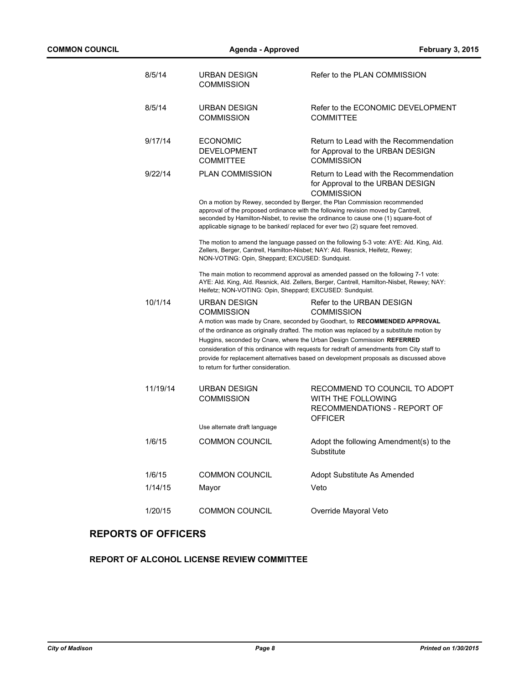| 8/5/14   | <b>URBAN DESIGN</b><br><b>COMMISSION</b>                                                                                          | Refer to the PLAN COMMISSION                                                                                                                                                                                                                                                                                                                                                                                                                                                               |
|----------|-----------------------------------------------------------------------------------------------------------------------------------|--------------------------------------------------------------------------------------------------------------------------------------------------------------------------------------------------------------------------------------------------------------------------------------------------------------------------------------------------------------------------------------------------------------------------------------------------------------------------------------------|
| 8/5/14   | <b>URBAN DESIGN</b><br><b>COMMISSION</b>                                                                                          | Refer to the ECONOMIC DEVELOPMENT<br><b>COMMITTEE</b>                                                                                                                                                                                                                                                                                                                                                                                                                                      |
| 9/17/14  | <b>ECONOMIC</b><br><b>DEVELOPMENT</b><br><b>COMMITTEE</b>                                                                         | Return to Lead with the Recommendation<br>for Approval to the URBAN DESIGN<br><b>COMMISSION</b>                                                                                                                                                                                                                                                                                                                                                                                            |
| 9/22/14  | <b>PLAN COMMISSION</b>                                                                                                            | Return to Lead with the Recommendation<br>for Approval to the URBAN DESIGN<br><b>COMMISSION</b><br>On a motion by Rewey, seconded by Berger, the Plan Commission recommended<br>approval of the proposed ordinance with the following revision moved by Cantrell,<br>seconded by Hamilton-Nisbet, to revise the ordinance to cause one (1) square-foot of<br>applicable signage to be banked/ replaced for ever two (2) square feet removed.                                               |
|          | Zellers, Berger, Cantrell, Hamilton-Nisbet; NAY: Ald. Resnick, Heifetz, Rewey;<br>NON-VOTING: Opin, Sheppard; EXCUSED: Sundquist. | The motion to amend the language passed on the following 5-3 vote: AYE: Ald. King, Ald.                                                                                                                                                                                                                                                                                                                                                                                                    |
|          | Heifetz; NON-VOTING: Opin, Sheppard; EXCUSED: Sundquist.                                                                          | The main motion to recommend approval as amended passed on the following 7-1 vote:<br>AYE: Ald. King, Ald. Resnick, Ald. Zellers, Berger, Cantrell, Hamilton-Nisbet, Rewey; NAY:                                                                                                                                                                                                                                                                                                           |
| 10/1/14  | URBAN DESIGN<br><b>COMMISSION</b><br>to return for further consideration.                                                         | Refer to the URBAN DESIGN<br><b>COMMISSION</b><br>A motion was made by Cnare, seconded by Goodhart, to RECOMMENDED APPROVAL<br>of the ordinance as originally drafted. The motion was replaced by a substitute motion by<br>Huggins, seconded by Cnare, where the Urban Design Commission REFERRED<br>consideration of this ordinance with requests for redraft of amendments from City staff to<br>provide for replacement alternatives based on development proposals as discussed above |
| 11/19/14 | <b>URBAN DESIGN</b><br><b>COMMISSION</b>                                                                                          | RECOMMEND TO COUNCIL TO ADOPT<br>WITH THE FOLLOWING<br>RECOMMENDATIONS - REPORT OF<br><b>OFFICER</b>                                                                                                                                                                                                                                                                                                                                                                                       |
|          | Use alternate draft language                                                                                                      |                                                                                                                                                                                                                                                                                                                                                                                                                                                                                            |
| 1/6/15   | <b>COMMON COUNCIL</b>                                                                                                             | Adopt the following Amendment(s) to the<br>Substitute                                                                                                                                                                                                                                                                                                                                                                                                                                      |
| 1/6/15   | <b>COMMON COUNCIL</b>                                                                                                             | Adopt Substitute As Amended                                                                                                                                                                                                                                                                                                                                                                                                                                                                |
| 1/14/15  | Mayor                                                                                                                             | Veto                                                                                                                                                                                                                                                                                                                                                                                                                                                                                       |
| 1/20/15  | <b>COMMON COUNCIL</b>                                                                                                             | Override Mayoral Veto                                                                                                                                                                                                                                                                                                                                                                                                                                                                      |
|          |                                                                                                                                   |                                                                                                                                                                                                                                                                                                                                                                                                                                                                                            |

## **REPORTS OF OFFICERS**

## **REPORT OF ALCOHOL LICENSE REVIEW COMMITTEE**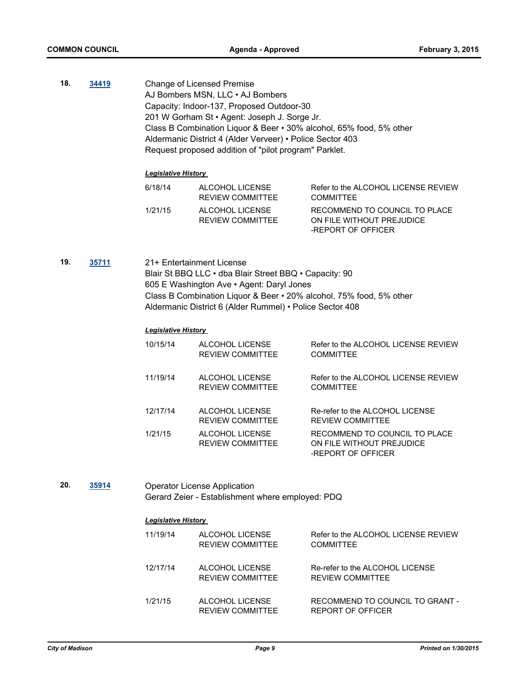**18. [34419](http://madison.legistar.com/gateway.aspx?m=l&id=/matter.aspx?key=37528)** Change of Licensed Premise AJ Bombers MSN, LLC • AJ Bombers Capacity: Indoor-137, Proposed Outdoor-30 201 W Gorham St • Agent: Joseph J. Sorge Jr. Class B Combination Liquor & Beer • 30% alcohol, 65% food, 5% other Aldermanic District 4 (Alder Verveer) • Police Sector 403 Request proposed addition of "pilot program" Parklet.

#### *Legislative History*

| 6/18/14 | ALCOHOL LICENSE<br><b>REVIEW COMMITTEE</b> | Refer to the ALCOHOL LICENSE REVIEW<br><b>COMMITTEE</b>                          |
|---------|--------------------------------------------|----------------------------------------------------------------------------------|
| 1/21/15 | ALCOHOL LICENSE<br><b>REVIEW COMMITTEE</b> | RECOMMEND TO COUNCIL TO PLACE<br>ON FILE WITHOUT PREJUDICE<br>-REPORT OF OFFICER |

**19. [35711](http://madison.legistar.com/gateway.aspx?m=l&id=/matter.aspx?key=38769)** 21+ Entertainment License Blair St BBQ LLC • dba Blair Street BBQ • Capacity: 90 605 E Washington Ave • Agent: Daryl Jones Class B Combination Liquor & Beer • 20% alcohol, 75% food, 5% other Aldermanic District 6 (Alder Rummel) • Police Sector 408

#### *Legislative History*

| 10/15/14 | ALCOHOL LICENSE<br><b>REVIEW COMMITTEE</b> | Refer to the ALCOHOL LICENSE REVIEW<br><b>COMMITTEE</b>                          |
|----------|--------------------------------------------|----------------------------------------------------------------------------------|
| 11/19/14 | ALCOHOL LICENSE<br><b>REVIEW COMMITTEE</b> | Refer to the ALCOHOL LICENSE REVIEW<br><b>COMMITTEE</b>                          |
| 12/17/14 | ALCOHOL LICENSE<br><b>REVIEW COMMITTEE</b> | Re-refer to the ALCOHOL LICENSE<br><b>REVIEW COMMITTEE</b>                       |
| 1/21/15  | ALCOHOL LICENSE<br><b>REVIEW COMMITTEE</b> | RECOMMEND TO COUNCIL TO PLACE<br>ON FILE WITHOUT PREJUDICE<br>-REPORT OF OFFICER |

**20. [35914](http://madison.legistar.com/gateway.aspx?m=l&id=/matter.aspx?key=38955)** Operator License Application Gerard Zeier - Establishment where employed: PDQ

| 11/19/14 | ALCOHOL LICENSE<br><b>REVIEW COMMITTEE</b> | Refer to the ALCOHOL LICENSE REVIEW<br><b>COMMITTEE</b>    |
|----------|--------------------------------------------|------------------------------------------------------------|
| 12/17/14 | ALCOHOL LICENSE<br><b>REVIEW COMMITTEE</b> | Re-refer to the ALCOHOL LICENSE<br><b>REVIEW COMMITTEE</b> |
| 1/21/15  | ALCOHOL LICENSE<br><b>REVIEW COMMITTEE</b> | RECOMMEND TO COUNCIL TO GRANT -<br>REPORT OF OFFICER       |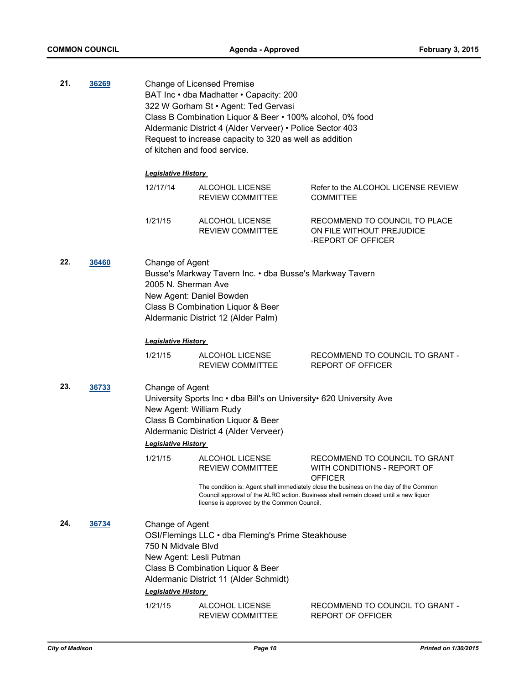**21. [36269](http://madison.legistar.com/gateway.aspx?m=l&id=/matter.aspx?key=39272)** Change of Licensed Premise BAT Inc • dba Madhatter • Capacity: 200 322 W Gorham St • Agent: Ted Gervasi Class B Combination Liquor & Beer • 100% alcohol, 0% food Aldermanic District 4 (Alder Verveer) • Police Sector 403 Request to increase capacity to 320 as well as addition of kitchen and food service. *Legislative History*  12/17/14 ALCOHOL LICENSE REVIEW COMMITTEE Refer to the ALCOHOL LICENSE REVIEW **COMMITTEE** 1/21/15 ALCOHOL LICENSE REVIEW COMMITTEE RECOMMEND TO COUNCIL TO PLACE ON FILE WITHOUT PREJUDICE -REPORT OF OFFICER **22. [36460](http://madison.legistar.com/gateway.aspx?m=l&id=/matter.aspx?key=39409)** Change of Agent Busse's Markway Tavern Inc. • dba Busse's Markway Tavern 2005 N. Sherman Ave New Agent: Daniel Bowden Class B Combination Liquor & Beer Aldermanic District 12 (Alder Palm) *Legislative History*  1/21/15 ALCOHOL LICENSE REVIEW COMMITTEE RECOMMEND TO COUNCIL TO GRANT - REPORT OF OFFICER **23. [36733](http://madison.legistar.com/gateway.aspx?m=l&id=/matter.aspx?key=39664)** Change of Agent University Sports Inc • dba Bill's on University• 620 University Ave New Agent: William Rudy Class B Combination Liquor & Beer Aldermanic District 4 (Alder Verveer) *Legislative History*  1/21/15 ALCOHOL LICENSE REVIEW COMMITTEE RECOMMEND TO COUNCIL TO GRANT WITH CONDITIONS - REPORT OF **OFFICER** The condition is: Agent shall immediately close the business on the day of the Common Council approval of the ALRC action. Business shall remain closed until a new liquor license is approved by the Common Council. **24. [36734](http://madison.legistar.com/gateway.aspx?m=l&id=/matter.aspx?key=39665)** Change of Agent OSI/Flemings LLC • dba Fleming's Prime Steakhouse 750 N Midvale Blvd New Agent: Lesli Putman Class B Combination Liquor & Beer Aldermanic District 11 (Alder Schmidt) *Legislative History*  1/21/15 ALCOHOL LICENSE REVIEW COMMITTEE RECOMMEND TO COUNCIL TO GRANT - REPORT OF OFFICER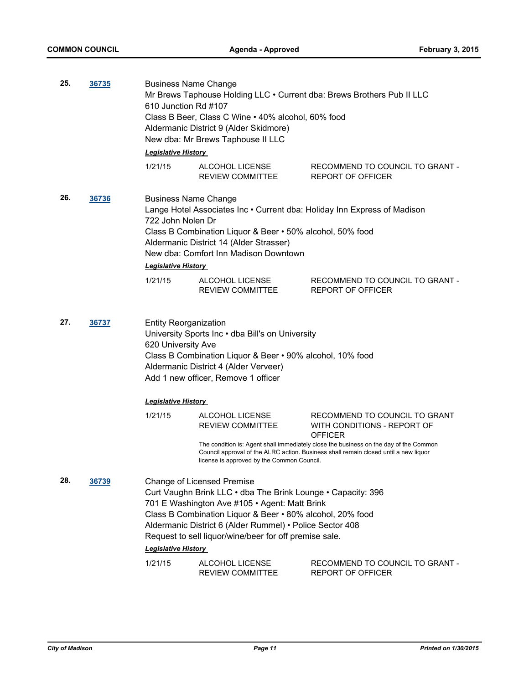| 25. | 36735 | <b>Business Name Change</b><br>610 Junction Rd #107<br><b>Legislative History</b>                                                                                                                                                                   | Class B Beer, Class C Wine . 40% alcohol, 60% food<br>Aldermanic District 9 (Alder Skidmore)<br>New dba: Mr Brews Taphouse II LLC                                                                                                                                                                                                     | Mr Brews Taphouse Holding LLC . Current dba: Brews Brothers Pub II LLC                                                                                                  |
|-----|-------|-----------------------------------------------------------------------------------------------------------------------------------------------------------------------------------------------------------------------------------------------------|---------------------------------------------------------------------------------------------------------------------------------------------------------------------------------------------------------------------------------------------------------------------------------------------------------------------------------------|-------------------------------------------------------------------------------------------------------------------------------------------------------------------------|
|     |       | 1/21/15                                                                                                                                                                                                                                             | ALCOHOL LICENSE<br><b>REVIEW COMMITTEE</b>                                                                                                                                                                                                                                                                                            | RECOMMEND TO COUNCIL TO GRANT -<br><b>REPORT OF OFFICER</b>                                                                                                             |
| 26. | 36736 | <b>Business Name Change</b><br>722 John Nolen Dr<br><b>Legislative History</b>                                                                                                                                                                      | Class B Combination Liquor & Beer • 50% alcohol, 50% food<br>Aldermanic District 14 (Alder Strasser)<br>New dba: Comfort Inn Madison Downtown                                                                                                                                                                                         | Lange Hotel Associates Inc . Current dba: Holiday Inn Express of Madison                                                                                                |
|     |       | 1/21/15                                                                                                                                                                                                                                             | ALCOHOL LICENSE<br><b>REVIEW COMMITTEE</b>                                                                                                                                                                                                                                                                                            | RECOMMEND TO COUNCIL TO GRANT -<br>REPORT OF OFFICER                                                                                                                    |
| 27. | 36737 | <b>Entity Reorganization</b><br>University Sports Inc . dba Bill's on University<br>620 University Ave<br>Class B Combination Liquor & Beer • 90% alcohol, 10% food<br>Aldermanic District 4 (Alder Verveer)<br>Add 1 new officer, Remove 1 officer |                                                                                                                                                                                                                                                                                                                                       |                                                                                                                                                                         |
|     |       | <b>Legislative History</b>                                                                                                                                                                                                                          |                                                                                                                                                                                                                                                                                                                                       |                                                                                                                                                                         |
|     |       | 1/21/15                                                                                                                                                                                                                                             | ALCOHOL LICENSE<br><b>REVIEW COMMITTEE</b>                                                                                                                                                                                                                                                                                            | RECOMMEND TO COUNCIL TO GRANT<br>WITH CONDITIONS - REPORT OF<br><b>OFFICER</b><br>The condition is: Agent shall immediately close the business on the day of the Common |
|     |       |                                                                                                                                                                                                                                                     | license is approved by the Common Council.                                                                                                                                                                                                                                                                                            | Council approval of the ALRC action. Business shall remain closed until a new liquor                                                                                    |
| 28. | 36739 |                                                                                                                                                                                                                                                     | <b>Change of Licensed Premise</b><br>Curt Vaughn Brink LLC . dba The Brink Lounge . Capacity: 396<br>701 E Washington Ave #105 · Agent: Matt Brink<br>Class B Combination Liquor & Beer . 80% alcohol, 20% food<br>Aldermanic District 6 (Alder Rummel) • Police Sector 408<br>Request to sell liquor/wine/beer for off premise sale. |                                                                                                                                                                         |
|     |       | <b>Legislative History</b>                                                                                                                                                                                                                          |                                                                                                                                                                                                                                                                                                                                       |                                                                                                                                                                         |
|     |       | 1/21/15                                                                                                                                                                                                                                             | ALCOHOL LICENSE<br>REVIEW COMMITTEE                                                                                                                                                                                                                                                                                                   | RECOMMEND TO COUNCIL TO GRANT -<br><b>REPORT OF OFFICER</b>                                                                                                             |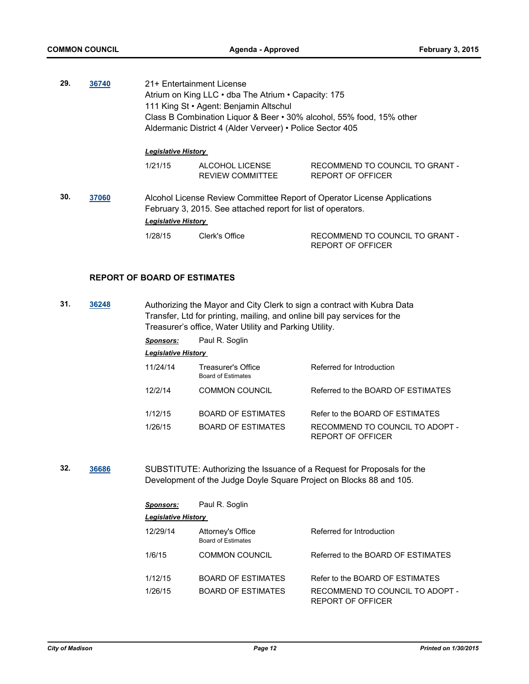| 29. | 36740 | 21+ Entertainment License<br>Atrium on King LLC • dba The Atrium • Capacity: 175<br>111 King St • Agent: Benjamin Altschul<br>Class B Combination Liquor & Beer • 30% alcohol, 55% food, 15% other<br>Aldermanic District 4 (Alder Verveer) • Police Sector 405 |                                                              |                                                                          |
|-----|-------|-----------------------------------------------------------------------------------------------------------------------------------------------------------------------------------------------------------------------------------------------------------------|--------------------------------------------------------------|--------------------------------------------------------------------------|
|     |       | <b>Legislative History</b>                                                                                                                                                                                                                                      |                                                              |                                                                          |
|     |       | 1/21/15                                                                                                                                                                                                                                                         | ALCOHOL LICENSE<br>REVIEW COMMITTEE                          | RECOMMEND TO COUNCIL TO GRANT -<br><b>REPORT OF OFFICER</b>              |
| 30. | 37060 | <b>Legislative History</b>                                                                                                                                                                                                                                      | February 3, 2015. See attached report for list of operators. | Alcohol License Review Committee Report of Operator License Applications |
|     |       | 1/28/15                                                                                                                                                                                                                                                         | Clerk's Office                                               | RECOMMEND TO COUNCIL TO GRANT -                                          |

#### **REPORT OF BOARD OF ESTIMATES**

**31. [36248](http://madison.legistar.com/gateway.aspx?m=l&id=/matter.aspx?key=39251)** Authorizing the Mayor and City Clerk to sign a contract with Kubra Data Transfer, Ltd for printing, mailing, and online bill pay services for the Treasurer's office, Water Utility and Parking Utility.

*Sponsors:* Paul R. Soglin

|  | Legislative History |  |
|--|---------------------|--|
|--|---------------------|--|

| 11/24/14 | Treasurer's Office<br>Board of Estimates | Referred for Introduction                            |
|----------|------------------------------------------|------------------------------------------------------|
| 12/2/14  | <b>COMMON COUNCIL</b>                    | Referred to the BOARD OF ESTIMATES                   |
| 1/12/15  | <b>BOARD OF ESTIMATES</b>                | Refer to the BOARD OF ESTIMATES                      |
| 1/26/15  | <b>BOARD OF ESTIMATES</b>                | RECOMMEND TO COUNCIL TO ADOPT -<br>REPORT OF OFFICER |

REPORT OF OFFICER

**32. [36686](http://madison.legistar.com/gateway.aspx?m=l&id=/matter.aspx?key=39619)** SUBSTITUTE: Authorizing the Issuance of a Request for Proposals for the Development of the Judge Doyle Square Project on Blocks 88 and 105.

| <b>Sponsors:</b>    | Paul R. Soglin                                 |                                                      |
|---------------------|------------------------------------------------|------------------------------------------------------|
| Legislative History |                                                |                                                      |
| 12/29/14            | Attorney's Office<br><b>Board of Estimates</b> | Referred for Introduction                            |
| 1/6/15              | COMMON COUNCIL                                 | Referred to the BOARD OF ESTIMATES                   |
| 1/12/15             | <b>BOARD OF ESTIMATES</b>                      | Refer to the BOARD OF ESTIMATES                      |
| 1/26/15             | BOARD OF ESTIMATES                             | RECOMMEND TO COUNCIL TO ADOPT -<br>REPORT OF OFFICER |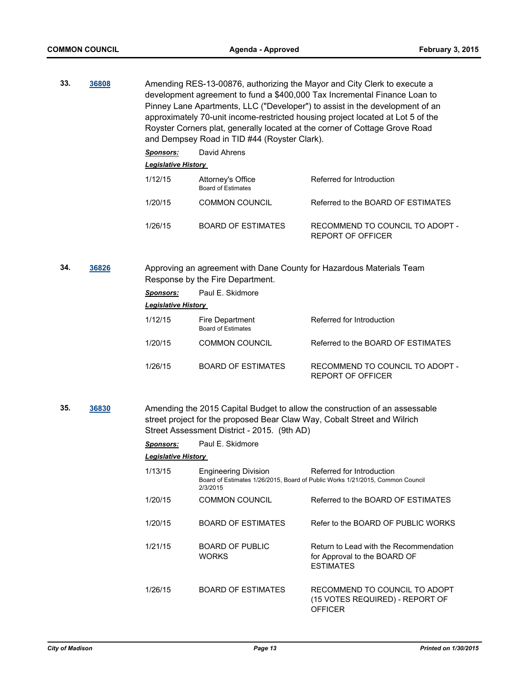**33. [36808](http://madison.legistar.com/gateway.aspx?m=l&id=/matter.aspx?key=39729)** Amending RES-13-00876, authorizing the Mayor and City Clerk to execute a development agreement to fund a \$400,000 Tax Incremental Finance Loan to Pinney Lane Apartments, LLC ("Developer") to assist in the development of an approximately 70-unit income-restricted housing project located at Lot 5 of the Royster Corners plat, generally located at the corner of Cottage Grove Road and Dempsey Road in TID #44 (Royster Clark).

> *Sponsors:* David Ahrens *Legislative History*  1/12/15 Attorney's Office Referred for Introduction Board of Estimates 1/20/15 COMMON COUNCIL Referred to the BOARD OF ESTIMATES 1/26/15 BOARD OF ESTIMATES RECOMMEND TO COUNCIL TO ADOPT - REPORT OF OFFICER

**34. [36826](http://madison.legistar.com/gateway.aspx?m=l&id=/matter.aspx?key=39742)** Approving an agreement with Dane County for Hazardous Materials Team Response by the Fire Department.

| Sponsors: | Paul E. Skidmore                             |                                                             |  |  |  |  |
|-----------|----------------------------------------------|-------------------------------------------------------------|--|--|--|--|
|           | <b>Legislative History</b>                   |                                                             |  |  |  |  |
| 1/12/15   | Fire Department<br><b>Board of Estimates</b> | Referred for Introduction                                   |  |  |  |  |
| 1/20/15   | <b>COMMON COUNCIL</b>                        | Referred to the BOARD OF ESTIMATES                          |  |  |  |  |
| 1/26/15   | BOARD OF ESTIMATES                           | RECOMMEND TO COUNCIL TO ADOPT -<br><b>REPORT OF OFFICER</b> |  |  |  |  |

**35. [36830](http://madison.legistar.com/gateway.aspx?m=l&id=/matter.aspx?key=39746)** Amending the 2015 Capital Budget to allow the construction of an assessable street project for the proposed Bear Claw Way, Cobalt Street and Wilrich Street Assessment District - 2015. (9th AD)

| <b>Sponsors:</b>           | Paul E. Skidmore                        |                                                                                                            |
|----------------------------|-----------------------------------------|------------------------------------------------------------------------------------------------------------|
| <b>Legislative History</b> |                                         |                                                                                                            |
| 1/13/15                    | <b>Engineering Division</b><br>2/3/2015 | Referred for Introduction<br>Board of Estimates 1/26/2015, Board of Public Works 1/21/2015, Common Council |
| 1/20/15                    | <b>COMMON COUNCIL</b>                   | Referred to the BOARD OF ESTIMATES                                                                         |
| 1/20/15                    | BOARD OF ESTIMATES                      | Refer to the BOARD OF PUBLIC WORKS                                                                         |
| 1/21/15                    | <b>BOARD OF PUBLIC</b><br><b>WORKS</b>  | Return to Lead with the Recommendation<br>for Approval to the BOARD OF<br><b>ESTIMATES</b>                 |
| 1/26/15                    | BOARD OF ESTIMATES                      | RECOMMEND TO COUNCIL TO ADOPT<br>(15 VOTES REQUIRED) - REPORT OF<br>OFFICER                                |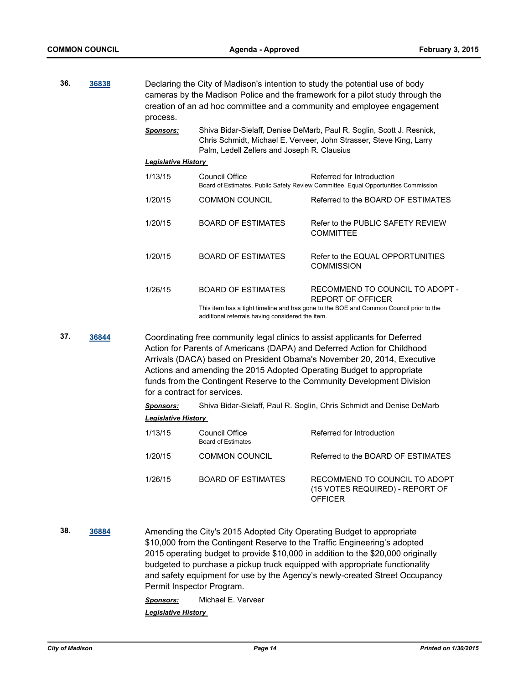| 36. | 36838 | process.                     |                                                                       | Declaring the City of Madison's intention to study the potential use of body<br>cameras by the Madison Police and the framework for a pilot study through the<br>creation of an ad hoc committee and a community and employee engagement                                                                                                                                               |
|-----|-------|------------------------------|-----------------------------------------------------------------------|----------------------------------------------------------------------------------------------------------------------------------------------------------------------------------------------------------------------------------------------------------------------------------------------------------------------------------------------------------------------------------------|
|     |       | <u>Sponsors:</u>             | Palm, Ledell Zellers and Joseph R. Clausius                           | Shiva Bidar-Sielaff, Denise DeMarb, Paul R. Soglin, Scott J. Resnick,<br>Chris Schmidt, Michael E. Verveer, John Strasser, Steve King, Larry                                                                                                                                                                                                                                           |
|     |       | <b>Legislative History</b>   |                                                                       |                                                                                                                                                                                                                                                                                                                                                                                        |
|     |       | 1/13/15                      | <b>Council Office</b>                                                 | Referred for Introduction<br>Board of Estimates, Public Safety Review Committee, Equal Opportunities Commission                                                                                                                                                                                                                                                                        |
|     |       | 1/20/15                      | <b>COMMON COUNCIL</b>                                                 | Referred to the BOARD OF ESTIMATES                                                                                                                                                                                                                                                                                                                                                     |
|     |       | 1/20/15                      | <b>BOARD OF ESTIMATES</b>                                             | Refer to the PUBLIC SAFETY REVIEW<br><b>COMMITTEE</b>                                                                                                                                                                                                                                                                                                                                  |
|     |       | 1/20/15                      | <b>BOARD OF ESTIMATES</b>                                             | Refer to the EQUAL OPPORTUNITIES<br><b>COMMISSION</b>                                                                                                                                                                                                                                                                                                                                  |
|     |       | 1/26/15                      | <b>BOARD OF ESTIMATES</b>                                             | RECOMMEND TO COUNCIL TO ADOPT -<br><b>REPORT OF OFFICER</b>                                                                                                                                                                                                                                                                                                                            |
|     |       |                              | additional referrals having considered the item.                      | This item has a tight timeline and has gone to the BOE and Common Council prior to the                                                                                                                                                                                                                                                                                                 |
| 37. | 36844 | for a contract for services. |                                                                       | Coordinating free community legal clinics to assist applicants for Deferred<br>Action for Parents of Americans (DAPA) and Deferred Action for Childhood<br>Arrivals (DACA) based on President Obama's November 20, 2014, Executive<br>Actions and amending the 2015 Adopted Operating Budget to appropriate<br>funds from the Contingent Reserve to the Community Development Division |
|     |       | <u>Sponsors:</u>             |                                                                       | Shiva Bidar-Sielaff, Paul R. Soglin, Chris Schmidt and Denise DeMarb                                                                                                                                                                                                                                                                                                                   |
|     |       | <b>Legislative History</b>   |                                                                       |                                                                                                                                                                                                                                                                                                                                                                                        |
|     |       | 1/13/15                      | <b>Council Office</b><br><b>Board of Estimates</b>                    | Referred for Introduction                                                                                                                                                                                                                                                                                                                                                              |
|     |       | 1/20/15                      | <b>COMMON COUNCIL</b>                                                 | Referred to the BOARD OF ESTIMATES                                                                                                                                                                                                                                                                                                                                                     |
|     |       | 1/26/15                      | <b>BOARD OF ESTIMATES</b>                                             | RECOMMEND TO COUNCIL TO ADOPT<br>(15 VOTES REQUIRED) - REPORT OF<br><b>OFFICER</b>                                                                                                                                                                                                                                                                                                     |
| 38. | 36884 |                              | Amending the City's 2015 Adopted City Operating Budget to appropriate | \$10,000 from the Contingent Reserve to the Traffic Engineering's adopted                                                                                                                                                                                                                                                                                                              |

2015 operating budget to provide \$10,000 in addition to the \$20,000 originally budgeted to purchase a pickup truck equipped with appropriate functionality and safety equipment for use by the Agency's newly-created Street Occupancy Permit Inspector Program.

*Sponsors:* Michael E. Verveer *Legislative History*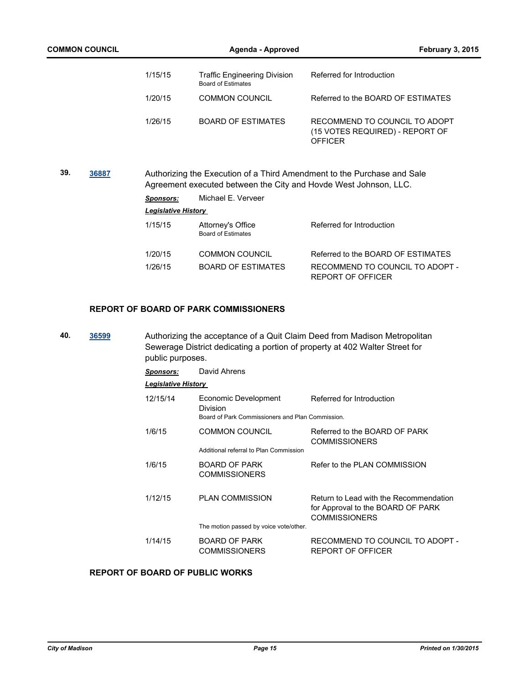| <b>COMMON COUNCIL</b> |                            | Agenda - Approved                                                | <b>February 3, 2015</b>                                                            |
|-----------------------|----------------------------|------------------------------------------------------------------|------------------------------------------------------------------------------------|
|                       | 1/15/15                    | <b>Traffic Engineering Division</b><br><b>Board of Estimates</b> | Referred for Introduction                                                          |
|                       | 1/20/15                    | <b>COMMON COUNCIL</b>                                            | Referred to the BOARD OF FSTIMATES                                                 |
|                       | 1/26/15                    | <b>BOARD OF ESTIMATES</b>                                        | RECOMMEND TO COUNCIL TO ADOPT<br>(15 VOTES REQUIRED) - REPORT OF<br><b>OFFICER</b> |
| 39.<br>36887          |                            | Agreement executed between the City and Hovde West Johnson, LLC. | Authorizing the Execution of a Third Amendment to the Purchase and Sale            |
|                       | <b>Sponsors:</b>           | Michael E. Verveer                                               |                                                                                    |
|                       | <b>Legislative History</b> |                                                                  |                                                                                    |
|                       | 1/15/15                    | Attorney's Office<br><b>Board of Estimates</b>                   | Referred for Introduction                                                          |
|                       | 1/20/15                    | <b>COMMON COUNCIL</b>                                            | Referred to the BOARD OF ESTIMATES                                                 |
|                       | 1/26/15                    | <b>BOARD OF ESTIMATES</b>                                        | RECOMMEND TO COUNCIL TO ADOPT -<br><b>REPORT OF OFFICER</b>                        |
|                       |                            |                                                                  |                                                                                    |

## **REPORT OF BOARD OF PARK COMMISSIONERS**

| 40. | 36599<br>and the control of the control of | Authorizing the acceptance of a Quit Claim Deed from Madison Metropolitan   |
|-----|--------------------------------------------|-----------------------------------------------------------------------------|
|     |                                            | Sewerage District dedicating a portion of property at 402 Walter Street for |
|     |                                            | public purposes.                                                            |

| <b>Sponsors:</b>           | David Ahrens                                                                         |                                                                                                     |
|----------------------------|--------------------------------------------------------------------------------------|-----------------------------------------------------------------------------------------------------|
| <b>Legislative History</b> |                                                                                      |                                                                                                     |
| 12/15/14                   | Economic Development<br>Division<br>Board of Park Commissioners and Plan Commission. | Referred for Introduction                                                                           |
| 1/6/15                     | <b>COMMON COUNCIL</b><br>Additional referral to Plan Commission                      | Referred to the BOARD OF PARK<br><b>COMMISSIONERS</b>                                               |
| 1/6/15                     | <b>BOARD OF PARK</b><br><b>COMMISSIONERS</b>                                         | Refer to the PLAN COMMISSION                                                                        |
| 1/12/15                    | <b>PLAN COMMISSION</b>                                                               | Return to Lead with the Recommendation<br>for Approval to the BOARD OF PARK<br><b>COMMISSIONERS</b> |
|                            | The motion passed by voice vote/other.                                               |                                                                                                     |
| 1/14/15                    | <b>BOARD OF PARK</b><br><b>COMMISSIONERS</b>                                         | RECOMMEND TO COUNCIL TO ADOPT -<br>REPORT OF OFFICER                                                |

## **REPORT OF BOARD OF PUBLIC WORKS**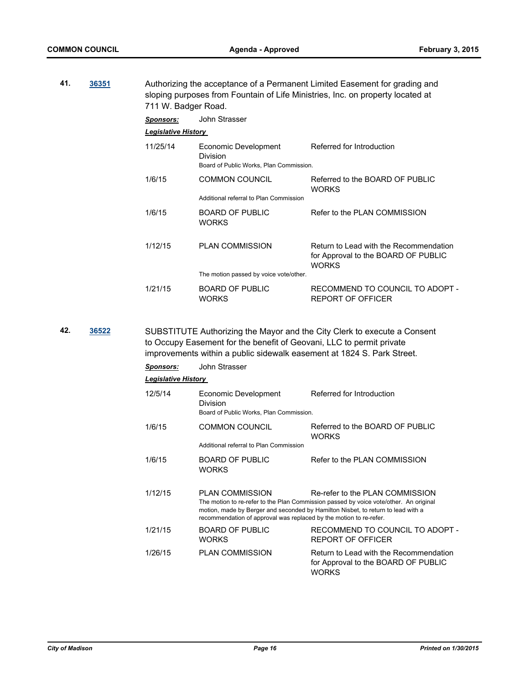**41. [36351](http://madison.legistar.com/gateway.aspx?m=l&id=/matter.aspx?key=39350)** Authorizing the acceptance of a Permanent Limited Easement for grading and sloping purposes from Fountain of Life Ministries, Inc. on property located at 711 W. Badger Road.

|     |       | <u>Sponsors:</u>           | John Strasser                                                                                                                                  |                                                                                                                                                                                                              |
|-----|-------|----------------------------|------------------------------------------------------------------------------------------------------------------------------------------------|--------------------------------------------------------------------------------------------------------------------------------------------------------------------------------------------------------------|
|     |       | <b>Legislative History</b> |                                                                                                                                                |                                                                                                                                                                                                              |
|     |       | 11/25/14                   | Economic Development<br>Division<br>Board of Public Works, Plan Commission.                                                                    | Referred for Introduction                                                                                                                                                                                    |
|     |       | 1/6/15                     | <b>COMMON COUNCIL</b>                                                                                                                          | Referred to the BOARD OF PUBLIC<br><b>WORKS</b>                                                                                                                                                              |
|     |       |                            | Additional referral to Plan Commission                                                                                                         |                                                                                                                                                                                                              |
|     |       | 1/6/15                     | <b>BOARD OF PUBLIC</b><br><b>WORKS</b>                                                                                                         | Refer to the PLAN COMMISSION                                                                                                                                                                                 |
|     |       | 1/12/15                    | <b>PLAN COMMISSION</b>                                                                                                                         | Return to Lead with the Recommendation<br>for Approval to the BOARD OF PUBLIC<br><b>WORKS</b>                                                                                                                |
|     |       |                            | The motion passed by voice vote/other.                                                                                                         |                                                                                                                                                                                                              |
|     |       | 1/21/15                    | <b>BOARD OF PUBLIC</b><br><b>WORKS</b>                                                                                                         | RECOMMEND TO COUNCIL TO ADOPT -<br><b>REPORT OF OFFICER</b>                                                                                                                                                  |
| 42. | 36522 |                            | to Occupy Easement for the benefit of Geovani, LLC to permit private<br>improvements within a public sidewalk easement at 1824 S. Park Street. | SUBSTITUTE Authorizing the Mayor and the City Clerk to execute a Consent                                                                                                                                     |
|     |       | Sponsors:                  | John Strasser                                                                                                                                  |                                                                                                                                                                                                              |
|     |       | <b>Legislative History</b> |                                                                                                                                                |                                                                                                                                                                                                              |
|     |       | 12/5/14                    | Economic Development<br>Division<br>Board of Public Works, Plan Commission.                                                                    | Referred for Introduction                                                                                                                                                                                    |
|     |       | 1/6/15                     | <b>COMMON COUNCIL</b>                                                                                                                          | Referred to the BOARD OF PUBLIC<br><b>WORKS</b>                                                                                                                                                              |
|     |       |                            | Additional referral to Plan Commission                                                                                                         |                                                                                                                                                                                                              |
|     |       | 1/6/15                     | <b>BOARD OF PUBLIC</b><br><b>WORKS</b>                                                                                                         | Refer to the PLAN COMMISSION                                                                                                                                                                                 |
|     |       | 1/12/15                    | PLAN COMMISSION<br>recommendation of approval was replaced by the motion to re-refer.                                                          | Re-refer to the PLAN COMMISSION<br>The motion to re-refer to the Plan Commission passed by voice vote/other. An original<br>motion, made by Berger and seconded by Hamilton Nisbet, to return to lead with a |
|     |       | 1/21/15                    | BOARD OF PUBLIC<br><b>WORKS</b>                                                                                                                | RECOMMEND TO COUNCIL TO ADOPT -<br><b>REPORT OF OFFICER</b>                                                                                                                                                  |
|     |       | 1/26/15                    | <b>PLAN COMMISSION</b>                                                                                                                         | Return to Lead with the Recommendation<br>for Approval to the BOARD OF PUBLIC<br><b>WORKS</b>                                                                                                                |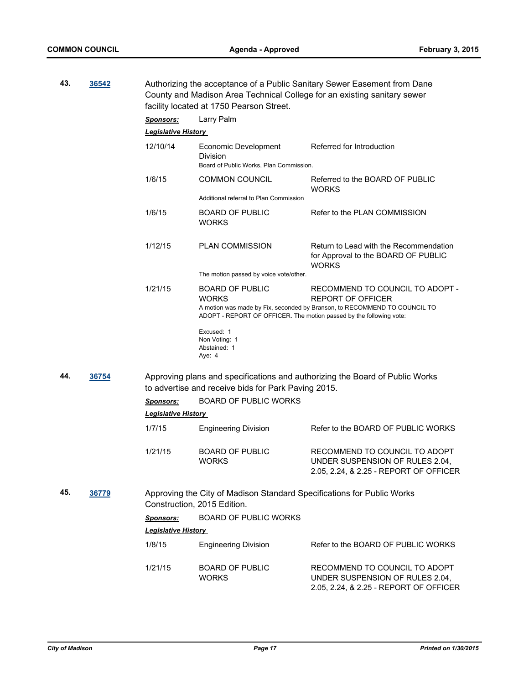| 43. | 36542 |                            | facility located at 1750 Pearson Street.                                                                      | Authorizing the acceptance of a Public Sanitary Sewer Easement from Dane<br>County and Madison Area Technical College for an existing sanitary sewer |
|-----|-------|----------------------------|---------------------------------------------------------------------------------------------------------------|------------------------------------------------------------------------------------------------------------------------------------------------------|
|     |       | Sponsors:                  | Larry Palm                                                                                                    |                                                                                                                                                      |
|     |       | <b>Legislative History</b> |                                                                                                               |                                                                                                                                                      |
|     |       | 12/10/14                   | Economic Development<br>Division<br>Board of Public Works, Plan Commission.                                   | Referred for Introduction                                                                                                                            |
|     |       | 1/6/15                     | COMMON COUNCIL                                                                                                | Referred to the BOARD OF PUBLIC<br><b>WORKS</b>                                                                                                      |
|     |       |                            | Additional referral to Plan Commission                                                                        |                                                                                                                                                      |
|     |       | 1/6/15                     | <b>BOARD OF PUBLIC</b><br><b>WORKS</b>                                                                        | Refer to the PLAN COMMISSION                                                                                                                         |
|     |       | 1/12/15                    | <b>PLAN COMMISSION</b><br>The motion passed by voice vote/other.                                              | Return to Lead with the Recommendation<br>for Approval to the BOARD OF PUBLIC<br><b>WORKS</b>                                                        |
|     |       |                            |                                                                                                               |                                                                                                                                                      |
|     |       | 1/21/15                    | <b>BOARD OF PUBLIC</b><br><b>WORKS</b><br>ADOPT - REPORT OF OFFICER. The motion passed by the following vote: | RECOMMEND TO COUNCIL TO ADOPT -<br><b>REPORT OF OFFICER</b><br>A motion was made by Fix, seconded by Branson, to RECOMMEND TO COUNCIL TO             |
|     |       |                            | Excused: 1<br>Non Voting: 1<br>Abstained: 1<br>Aye: 4                                                         |                                                                                                                                                      |
| 44. | 36754 |                            | to advertise and receive bids for Park Paving 2015.                                                           | Approving plans and specifications and authorizing the Board of Public Works                                                                         |
|     |       | <b>Sponsors:</b>           | <b>BOARD OF PUBLIC WORKS</b>                                                                                  |                                                                                                                                                      |
|     |       | <b>Legislative History</b> |                                                                                                               |                                                                                                                                                      |
|     |       | 1/7/15                     | <b>Engineering Division</b>                                                                                   | Refer to the BOARD OF PUBLIC WORKS                                                                                                                   |
|     |       | 1/21/15                    | <b>BOARD OF PUBLIC</b><br><b>WORKS</b>                                                                        | RECOMMEND TO COUNCIL TO ADOPT<br>UNDER SUSPENSION OF RULES 2.04,<br>2.05, 2.24, & 2.25 - REPORT OF OFFICER                                           |
| 45. | 36779 |                            | Approving the City of Madison Standard Specifications for Public Works<br>Construction, 2015 Edition.         |                                                                                                                                                      |
|     |       | Sponsors:                  | <b>BOARD OF PUBLIC WORKS</b>                                                                                  |                                                                                                                                                      |
|     |       | <b>Legislative History</b> |                                                                                                               |                                                                                                                                                      |
|     |       | 1/8/15                     | <b>Engineering Division</b>                                                                                   | Refer to the BOARD OF PUBLIC WORKS                                                                                                                   |
|     |       | 1/21/15                    | <b>BOARD OF PUBLIC</b><br><b>WORKS</b>                                                                        | RECOMMEND TO COUNCIL TO ADOPT<br>UNDER SUSPENSION OF RULES 2.04,<br>2.05, 2.24, & 2.25 - REPORT OF OFFICER                                           |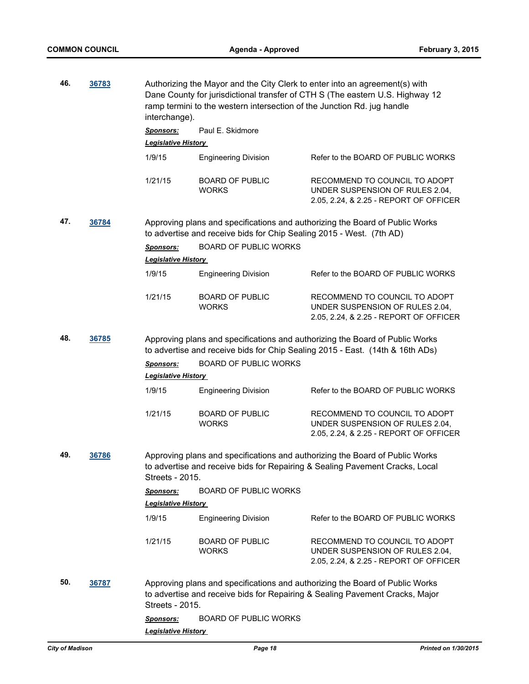| 46. | 36783 | interchange).              | ramp termini to the western intersection of the Junction Rd. jug handle | Authorizing the Mayor and the City Clerk to enter into an agreement(s) with<br>Dane County for jurisdictional transfer of CTH S (The eastern U.S. Highway 12  |
|-----|-------|----------------------------|-------------------------------------------------------------------------|---------------------------------------------------------------------------------------------------------------------------------------------------------------|
|     |       | <b>Sponsors:</b>           | Paul E. Skidmore                                                        |                                                                                                                                                               |
|     |       | <b>Legislative History</b> |                                                                         |                                                                                                                                                               |
|     |       | 1/9/15                     | <b>Engineering Division</b>                                             | Refer to the BOARD OF PUBLIC WORKS                                                                                                                            |
|     |       | 1/21/15                    | <b>BOARD OF PUBLIC</b><br><b>WORKS</b>                                  | RECOMMEND TO COUNCIL TO ADOPT<br>UNDER SUSPENSION OF RULES 2.04,<br>2.05, 2.24, & 2.25 - REPORT OF OFFICER                                                    |
| 47. | 36784 |                            | to advertise and receive bids for Chip Sealing 2015 - West. (7th AD)    | Approving plans and specifications and authorizing the Board of Public Works                                                                                  |
|     |       | <b>Sponsors:</b>           | <b>BOARD OF PUBLIC WORKS</b>                                            |                                                                                                                                                               |
|     |       | <b>Legislative History</b> |                                                                         |                                                                                                                                                               |
|     |       | 1/9/15                     | <b>Engineering Division</b>                                             | Refer to the BOARD OF PUBLIC WORKS                                                                                                                            |
|     |       | 1/21/15                    | <b>BOARD OF PUBLIC</b><br><b>WORKS</b>                                  | RECOMMEND TO COUNCIL TO ADOPT<br>UNDER SUSPENSION OF RULES 2.04,<br>2.05, 2.24, & 2.25 - REPORT OF OFFICER                                                    |
| 48. | 36785 |                            |                                                                         | Approving plans and specifications and authorizing the Board of Public Works<br>to advertise and receive bids for Chip Sealing 2015 - East. (14th & 16th ADs) |
|     |       | <b>Sponsors:</b>           | <b>BOARD OF PUBLIC WORKS</b>                                            |                                                                                                                                                               |
|     |       | <b>Legislative History</b> |                                                                         |                                                                                                                                                               |
|     |       | 1/9/15                     | <b>Engineering Division</b>                                             | Refer to the BOARD OF PUBLIC WORKS                                                                                                                            |
|     |       | 1/21/15                    | <b>BOARD OF PUBLIC</b><br><b>WORKS</b>                                  | RECOMMEND TO COUNCIL TO ADOPT<br>UNDER SUSPENSION OF RULES 2.04,<br>2.05, 2.24, & 2.25 - REPORT OF OFFICER                                                    |
| 49. | 36786 | Streets - 2015.            |                                                                         | Approving plans and specifications and authorizing the Board of Public Works<br>to advertise and receive bids for Repairing & Sealing Pavement Cracks, Local  |
|     |       | <b>Sponsors:</b>           | <b>BOARD OF PUBLIC WORKS</b>                                            |                                                                                                                                                               |
|     |       | <b>Legislative History</b> |                                                                         |                                                                                                                                                               |
|     |       | 1/9/15                     | <b>Engineering Division</b>                                             | Refer to the BOARD OF PUBLIC WORKS                                                                                                                            |
|     |       | 1/21/15                    | <b>BOARD OF PUBLIC</b><br><b>WORKS</b>                                  | RECOMMEND TO COUNCIL TO ADOPT<br>UNDER SUSPENSION OF RULES 2.04,<br>2.05, 2.24, & 2.25 - REPORT OF OFFICER                                                    |
| 50. | 36787 | Streets - 2015.            |                                                                         | Approving plans and specifications and authorizing the Board of Public Works<br>to advertise and receive bids for Repairing & Sealing Pavement Cracks, Major  |
|     |       | <b>Sponsors:</b>           | <b>BOARD OF PUBLIC WORKS</b>                                            |                                                                                                                                                               |
|     |       | <b>Legislative History</b> |                                                                         |                                                                                                                                                               |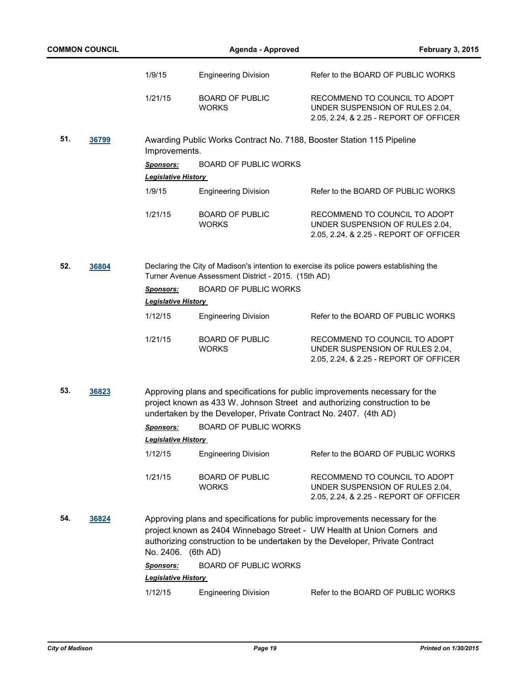|     | <b>COMMON COUNCIL</b> |                            | <b>Agenda - Approved</b>                                         | <b>February 3, 2015</b>                                                                                                                                                                                                                 |
|-----|-----------------------|----------------------------|------------------------------------------------------------------|-----------------------------------------------------------------------------------------------------------------------------------------------------------------------------------------------------------------------------------------|
|     |                       | 1/9/15                     | <b>Engineering Division</b>                                      | Refer to the BOARD OF PUBLIC WORKS                                                                                                                                                                                                      |
|     |                       | 1/21/15                    | <b>BOARD OF PUBLIC</b><br><b>WORKS</b>                           | RECOMMEND TO COUNCIL TO ADOPT<br>UNDER SUSPENSION OF RULES 2.04,<br>2.05, 2.24, & 2.25 - REPORT OF OFFICER                                                                                                                              |
| 51. | 36799                 | Improvements.              |                                                                  | Awarding Public Works Contract No. 7188, Booster Station 115 Pipeline                                                                                                                                                                   |
|     |                       | <b>Sponsors:</b>           | <b>BOARD OF PUBLIC WORKS</b>                                     |                                                                                                                                                                                                                                         |
|     |                       | <b>Legislative History</b> |                                                                  |                                                                                                                                                                                                                                         |
|     |                       | 1/9/15                     | <b>Engineering Division</b>                                      | Refer to the BOARD OF PUBLIC WORKS                                                                                                                                                                                                      |
|     |                       | 1/21/15                    | <b>BOARD OF PUBLIC</b><br><b>WORKS</b>                           | RECOMMEND TO COUNCIL TO ADOPT<br>UNDER SUSPENSION OF RULES 2.04,<br>2.05, 2.24, & 2.25 - REPORT OF OFFICER                                                                                                                              |
| 52. | 36804                 |                            | Turner Avenue Assessment District - 2015. (15th AD)              | Declaring the City of Madison's intention to exercise its police powers establishing the                                                                                                                                                |
|     |                       | <b>Sponsors:</b>           | <b>BOARD OF PUBLIC WORKS</b>                                     |                                                                                                                                                                                                                                         |
|     |                       | <b>Legislative History</b> |                                                                  |                                                                                                                                                                                                                                         |
|     |                       | 1/12/15                    | <b>Engineering Division</b>                                      | Refer to the BOARD OF PUBLIC WORKS                                                                                                                                                                                                      |
|     |                       | 1/21/15                    | <b>BOARD OF PUBLIC</b><br><b>WORKS</b>                           | RECOMMEND TO COUNCIL TO ADOPT<br>UNDER SUSPENSION OF RULES 2.04,<br>2.05, 2.24, & 2.25 - REPORT OF OFFICER                                                                                                                              |
| 53. | 36823                 |                            | undertaken by the Developer, Private Contract No. 2407. (4th AD) | Approving plans and specifications for public improvements necessary for the<br>project known as 433 W. Johnson Street and authorizing construction to be                                                                               |
|     |                       | <b>Sponsors:</b>           | <b>BOARD OF PUBLIC WORKS</b>                                     |                                                                                                                                                                                                                                         |
|     |                       | <b>Legislative History</b> |                                                                  |                                                                                                                                                                                                                                         |
|     |                       | 1/12/15                    | <b>Engineering Division</b>                                      | Refer to the BOARD OF PUBLIC WORKS                                                                                                                                                                                                      |
|     |                       | 1/21/15                    | <b>BOARD OF PUBLIC</b><br><b>WORKS</b>                           | RECOMMEND TO COUNCIL TO ADOPT<br>UNDER SUSPENSION OF RULES 2.04,<br>2.05, 2.24, & 2.25 - REPORT OF OFFICER                                                                                                                              |
| 54. | 36824                 | No. 2406. (6th AD)         |                                                                  | Approving plans and specifications for public improvements necessary for the<br>project known as 2404 Winnebago Street - UW Health at Union Corners and<br>authorizing construction to be undertaken by the Developer, Private Contract |
|     |                       | Sponsors:                  | <b>BOARD OF PUBLIC WORKS</b>                                     |                                                                                                                                                                                                                                         |
|     |                       | <b>Legislative History</b> |                                                                  |                                                                                                                                                                                                                                         |
|     |                       | 1/12/15                    | <b>Engineering Division</b>                                      | Refer to the BOARD OF PUBLIC WORKS                                                                                                                                                                                                      |
|     |                       |                            |                                                                  |                                                                                                                                                                                                                                         |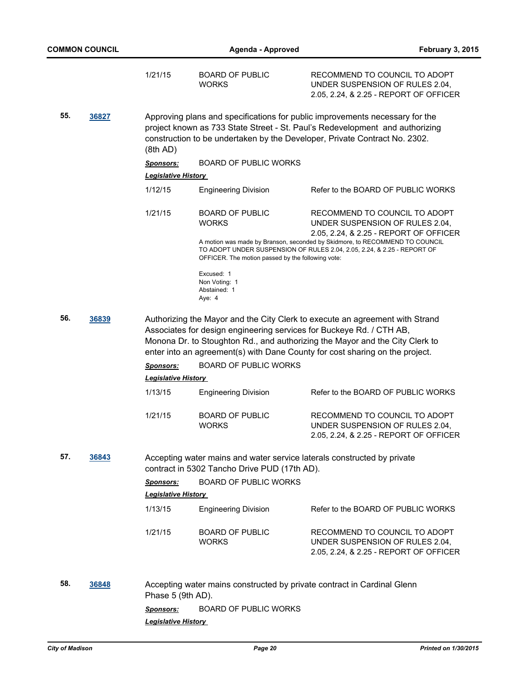|     |       | 1/21/15                                 | <b>BOARD OF PUBLIC</b><br>WORKS                                                                                         | RECOMMEND TO COUNCIL TO ADOPT<br>UNDER SUSPENSION OF RULES 2.04,<br>2.05, 2.24, & 2.25 - REPORT OF OFFICER                                                                                                                                   |
|-----|-------|-----------------------------------------|-------------------------------------------------------------------------------------------------------------------------|----------------------------------------------------------------------------------------------------------------------------------------------------------------------------------------------------------------------------------------------|
| 55. | 36827 | (8th AD)                                |                                                                                                                         | Approving plans and specifications for public improvements necessary for the<br>project known as 733 State Street - St. Paul's Redevelopment and authorizing<br>construction to be undertaken by the Developer, Private Contract No. 2302.   |
|     |       | <b>Sponsors:</b>                        | <b>BOARD OF PUBLIC WORKS</b>                                                                                            |                                                                                                                                                                                                                                              |
|     |       | Legislative History                     |                                                                                                                         |                                                                                                                                                                                                                                              |
|     |       | 1/12/15                                 | <b>Engineering Division</b>                                                                                             | Refer to the BOARD OF PUBLIC WORKS                                                                                                                                                                                                           |
|     |       | 1/21/15                                 | <b>BOARD OF PUBLIC</b><br><b>WORKS</b>                                                                                  | RECOMMEND TO COUNCIL TO ADOPT<br>UNDER SUSPENSION OF RULES 2.04,<br>2.05, 2.24, & 2.25 - REPORT OF OFFICER                                                                                                                                   |
|     |       |                                         | OFFICER. The motion passed by the following vote:                                                                       | A motion was made by Branson, seconded by Skidmore, to RECOMMEND TO COUNCIL<br>TO ADOPT UNDER SUSPENSION OF RULES 2.04, 2.05, 2.24, & 2.25 - REPORT OF                                                                                       |
|     |       |                                         | Excused: 1<br>Non Voting: 1<br>Abstained: 1<br>Aye: 4                                                                   |                                                                                                                                                                                                                                              |
| 56. | 36839 |                                         | Associates for design engineering services for Buckeye Rd. / CTH AB,                                                    | Authorizing the Mayor and the City Clerk to execute an agreement with Strand<br>Monona Dr. to Stoughton Rd., and authorizing the Mayor and the City Clerk to<br>enter into an agreement(s) with Dane County for cost sharing on the project. |
|     |       | <b>Sponsors:</b>                        | <b>BOARD OF PUBLIC WORKS</b>                                                                                            |                                                                                                                                                                                                                                              |
|     |       | <b>Legislative History</b>              |                                                                                                                         |                                                                                                                                                                                                                                              |
|     |       | 1/13/15                                 | <b>Engineering Division</b>                                                                                             | Refer to the BOARD OF PUBLIC WORKS                                                                                                                                                                                                           |
|     |       | 1/21/15                                 | <b>BOARD OF PUBLIC</b><br><b>WORKS</b>                                                                                  | RECOMMEND TO COUNCIL TO ADOPT<br>UNDER SUSPENSION OF RULES 2.04,<br>2.05, 2.24, & 2.25 - REPORT OF OFFICER                                                                                                                                   |
| 57. | 36843 |                                         | Accepting water mains and water service laterals constructed by private<br>contract in 5302 Tancho Drive PUD (17th AD). |                                                                                                                                                                                                                                              |
|     |       | <b>Sponsors:</b>                        | <b>BOARD OF PUBLIC WORKS</b>                                                                                            |                                                                                                                                                                                                                                              |
|     |       | <b>Legislative History</b>              |                                                                                                                         |                                                                                                                                                                                                                                              |
|     |       | 1/13/15                                 | <b>Engineering Division</b>                                                                                             | Refer to the BOARD OF PUBLIC WORKS                                                                                                                                                                                                           |
|     |       | 1/21/15                                 | <b>BOARD OF PUBLIC</b><br>WORKS                                                                                         | RECOMMEND TO COUNCIL TO ADOPT<br>UNDER SUSPENSION OF RULES 2.04,<br>2.05, 2.24, & 2.25 - REPORT OF OFFICER                                                                                                                                   |
| 58. | 36848 | Phase 5 (9th AD).                       | Accepting water mains constructed by private contract in Cardinal Glenn                                                 |                                                                                                                                                                                                                                              |
|     |       | Sponsors:<br><b>Legislative History</b> | BOARD OF PUBLIC WORKS                                                                                                   |                                                                                                                                                                                                                                              |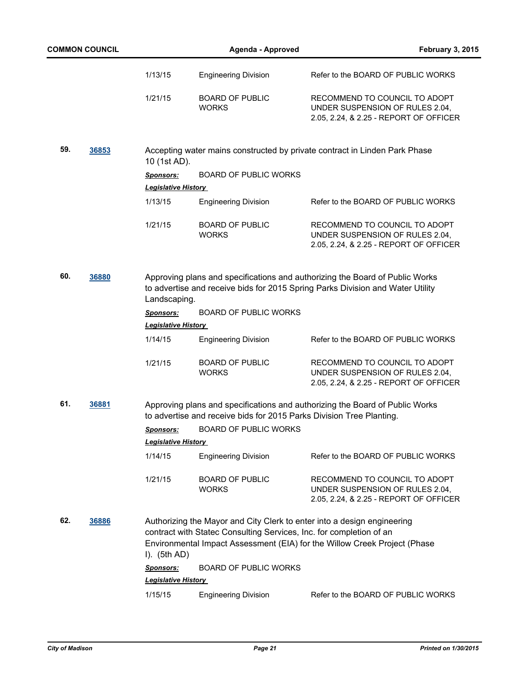|     | <b>COMMON COUNCIL</b> |                                                | <b>Agenda - Approved</b>                                            | February 3, 2015                                                                                                                                               |
|-----|-----------------------|------------------------------------------------|---------------------------------------------------------------------|----------------------------------------------------------------------------------------------------------------------------------------------------------------|
|     |                       | 1/13/15                                        | <b>Engineering Division</b>                                         | Refer to the BOARD OF PUBLIC WORKS                                                                                                                             |
|     |                       | 1/21/15                                        | <b>BOARD OF PUBLIC</b><br><b>WORKS</b>                              | RECOMMEND TO COUNCIL TO ADOPT<br>UNDER SUSPENSION OF RULES 2.04,<br>2.05, 2.24, & 2.25 - REPORT OF OFFICER                                                     |
| 59. | 36853                 | 10 (1st AD).                                   |                                                                     | Accepting water mains constructed by private contract in Linden Park Phase                                                                                     |
|     |                       | <b>Sponsors:</b>                               | <b>BOARD OF PUBLIC WORKS</b>                                        |                                                                                                                                                                |
|     |                       | <b>Legislative History</b>                     |                                                                     |                                                                                                                                                                |
|     |                       | 1/13/15                                        | <b>Engineering Division</b>                                         | Refer to the BOARD OF PUBLIC WORKS                                                                                                                             |
|     |                       | 1/21/15                                        | <b>BOARD OF PUBLIC</b><br><b>WORKS</b>                              | RECOMMEND TO COUNCIL TO ADOPT<br>UNDER SUSPENSION OF RULES 2.04,<br>2.05, 2.24, & 2.25 - REPORT OF OFFICER                                                     |
| 60. | 36880                 | Landscaping.                                   |                                                                     | Approving plans and specifications and authorizing the Board of Public Works<br>to advertise and receive bids for 2015 Spring Parks Division and Water Utility |
|     |                       | <b>Sponsors:</b><br><b>Legislative History</b> | <b>BOARD OF PUBLIC WORKS</b>                                        |                                                                                                                                                                |
|     |                       | 1/14/15                                        | <b>Engineering Division</b>                                         | Refer to the BOARD OF PUBLIC WORKS                                                                                                                             |
|     |                       | 1/21/15                                        | <b>BOARD OF PUBLIC</b><br><b>WORKS</b>                              | RECOMMEND TO COUNCIL TO ADOPT<br>UNDER SUSPENSION OF RULES 2.04,<br>2.05, 2.24, & 2.25 - REPORT OF OFFICER                                                     |
| 61. | 36881                 |                                                |                                                                     | Approving plans and specifications and authorizing the Board of Public Works<br>to advertise and receive bids for 2015 Parks Division Tree Planting.           |
|     |                       |                                                | Sponsors: BOARD OF PUBLIC WORKS                                     |                                                                                                                                                                |
|     |                       | <b>Legislative History</b>                     |                                                                     |                                                                                                                                                                |
|     |                       | 1/14/15                                        | <b>Engineering Division</b>                                         | Refer to the BOARD OF PUBLIC WORKS                                                                                                                             |
|     |                       | 1/21/15                                        | <b>BOARD OF PUBLIC</b><br><b>WORKS</b>                              | RECOMMEND TO COUNCIL TO ADOPT<br>UNDER SUSPENSION OF RULES 2.04,<br>2.05, 2.24, & 2.25 - REPORT OF OFFICER                                                     |
| 62. | 36886                 | I). $(5th AD)$                                 | contract with Statec Consulting Services, Inc. for completion of an | Authorizing the Mayor and City Clerk to enter into a design engineering<br>Environmental Impact Assessment (EIA) for the Willow Creek Project (Phase           |
|     |                       | <b>Sponsors:</b>                               | <b>BOARD OF PUBLIC WORKS</b>                                        |                                                                                                                                                                |
|     |                       | <b>Legislative History</b>                     |                                                                     |                                                                                                                                                                |
|     |                       | 1/15/15                                        | <b>Engineering Division</b>                                         | Refer to the BOARD OF PUBLIC WORKS                                                                                                                             |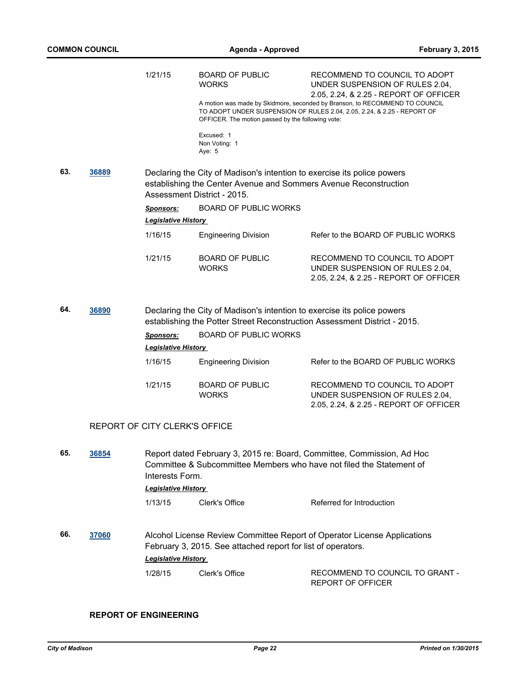|     |       | 1/21/15                                        | <b>BOARD OF PUBLIC</b><br><b>WORKS</b>                                                                                                                                     | RECOMMEND TO COUNCIL TO ADOPT<br>UNDER SUSPENSION OF RULES 2.04,<br>2.05, 2.24, & 2.25 - REPORT OF OFFICER                                             |
|-----|-------|------------------------------------------------|----------------------------------------------------------------------------------------------------------------------------------------------------------------------------|--------------------------------------------------------------------------------------------------------------------------------------------------------|
|     |       |                                                | OFFICER. The motion passed by the following vote:                                                                                                                          | A motion was made by Skidmore, seconded by Branson, to RECOMMEND TO COUNCIL<br>TO ADOPT UNDER SUSPENSION OF RULES 2.04, 2.05, 2.24, & 2.25 - REPORT OF |
|     |       |                                                | Excused: 1<br>Non Voting: 1<br>Aye: 5                                                                                                                                      |                                                                                                                                                        |
| 63. | 36889 |                                                | Declaring the City of Madison's intention to exercise its police powers<br>establishing the Center Avenue and Sommers Avenue Reconstruction<br>Assessment District - 2015. |                                                                                                                                                        |
|     |       | <u>Sponsors:</u><br><b>Legislative History</b> | <b>BOARD OF PUBLIC WORKS</b>                                                                                                                                               |                                                                                                                                                        |
|     |       | 1/16/15                                        | <b>Engineering Division</b>                                                                                                                                                | Refer to the BOARD OF PUBLIC WORKS                                                                                                                     |
|     |       | 1/21/15                                        | <b>BOARD OF PUBLIC</b><br><b>WORKS</b>                                                                                                                                     | RECOMMEND TO COUNCIL TO ADOPT<br>UNDER SUSPENSION OF RULES 2.04,<br>2.05, 2.24, & 2.25 - REPORT OF OFFICER                                             |
| 64. | 36890 |                                                | Declaring the City of Madison's intention to exercise its police powers                                                                                                    | establishing the Potter Street Reconstruction Assessment District - 2015.                                                                              |
|     |       |                                                |                                                                                                                                                                            |                                                                                                                                                        |
|     |       | <b>Sponsors:</b>                               | <b>BOARD OF PUBLIC WORKS</b>                                                                                                                                               |                                                                                                                                                        |
|     |       | <b>Legislative History</b>                     |                                                                                                                                                                            |                                                                                                                                                        |
|     |       | 1/16/15                                        | <b>Engineering Division</b>                                                                                                                                                | Refer to the BOARD OF PUBLIC WORKS                                                                                                                     |
|     |       | 1/21/15                                        | <b>BOARD OF PUBLIC</b><br><b>WORKS</b>                                                                                                                                     | RECOMMEND TO COUNCIL TO ADOPT<br>UNDER SUSPENSION OF RULES 2.04,<br>2.05, 2.24, & 2.25 - REPORT OF OFFICER                                             |
|     |       | REPORT OF CITY CLERK'S OFFICE                  |                                                                                                                                                                            |                                                                                                                                                        |
| 65. | 36854 | Interests Form.                                |                                                                                                                                                                            | Report dated February 3, 2015 re: Board, Committee, Commission, Ad Hoc<br>Committee & Subcommittee Members who have not filed the Statement of         |
|     |       | Legislative History                            |                                                                                                                                                                            |                                                                                                                                                        |
|     |       | 1/13/15                                        | Clerk's Office                                                                                                                                                             | Referred for Introduction                                                                                                                              |
| 66. | 37060 | <b>Legislative History</b>                     | February 3, 2015. See attached report for list of operators.                                                                                                               | Alcohol License Review Committee Report of Operator License Applications                                                                               |

## **REPORT OF ENGINEERING**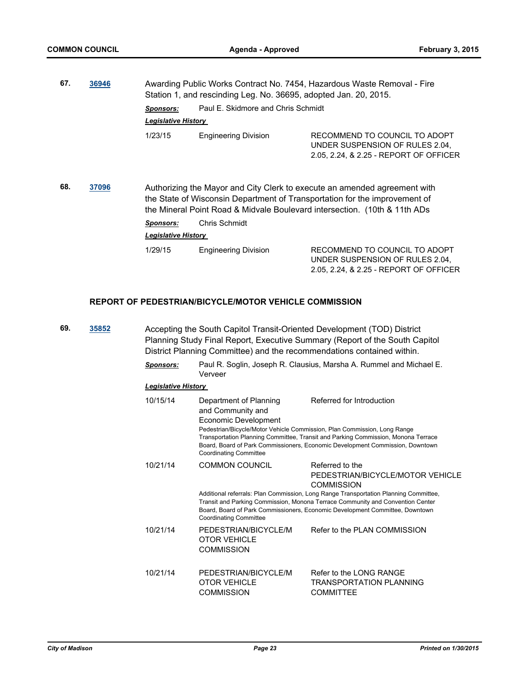| 67. | 36946 | Awarding Public Works Contract No. 7454, Hazardous Waste Removal - Fire<br>Station 1, and rescinding Leg. No. 36695, adopted Jan. 20, 2015. |                                    |                                                                                                                                                                                                                                      |
|-----|-------|---------------------------------------------------------------------------------------------------------------------------------------------|------------------------------------|--------------------------------------------------------------------------------------------------------------------------------------------------------------------------------------------------------------------------------------|
|     |       | <b>Sponsors:</b>                                                                                                                            | Paul E. Skidmore and Chris Schmidt |                                                                                                                                                                                                                                      |
|     |       | <b>Legislative History</b>                                                                                                                  |                                    |                                                                                                                                                                                                                                      |
|     |       | 1/23/15                                                                                                                                     | <b>Engineering Division</b>        | RECOMMEND TO COUNCIL TO ADOPT<br>UNDER SUSPENSION OF RULES 2.04.<br>2.05, 2.24, & 2.25 - REPORT OF OFFICER                                                                                                                           |
| 68. | 37096 |                                                                                                                                             |                                    | Authorizing the Mayor and City Clerk to execute an amended agreement with<br>the State of Wisconsin Department of Transportation for the improvement of<br>the Mineral Point Road & Midvale Boulevard intersection. (10th & 11th ADs |
|     |       | <b>Sponsors:</b>                                                                                                                            | Chris Schmidt                      |                                                                                                                                                                                                                                      |
|     |       | <b>Legislative History</b>                                                                                                                  |                                    |                                                                                                                                                                                                                                      |

| 1/29/15 | <b>Engineering Division</b> | RECOMMEND TO COUNCIL TO ADOPT          |
|---------|-----------------------------|----------------------------------------|
|         |                             | UNDER SUSPENSION OF RULES 2.04.        |
|         |                             | 2.05, 2.24, & 2.25 - REPORT OF OFFICER |

#### **REPORT OF PEDESTRIAN/BICYCLE/MOTOR VEHICLE COMMISSION**

**69. [35852](http://madison.legistar.com/gateway.aspx?m=l&id=/matter.aspx?key=38896)** Accepting the South Capitol Transit-Oriented Development (TOD) District Planning Study Final Report, Executive Summary (Report of the South Capitol District Planning Committee) and the recommendations contained within. *Sponsors:* Paul R. Soglin, Joseph R. Clausius, Marsha A. Rummel and Michael E. Verveer *Legislative History*  10/15/14 Department of Planning and Community and Economic Development Referred for Introduction Pedestrian/Bicycle/Motor Vehicle Commission, Plan Commission, Long Range Transportation Planning Committee, Transit and Parking Commission, Monona Terrace Board, Board of Park Commissioners, Economic Development Commission, Downtown Coordinating Committee 10/21/14 COMMON COUNCIL Referred to the PEDESTRIAN/BICYCLE/MOTOR VEHICLE **COMMISSION** Additional referrals: Plan Commission, Long Range Transportation Planning Committee, Transit and Parking Commission, Monona Terrace Community and Convention Center Board, Board of Park Commissioners, Economic Development Committee, Downtown Coordinating Committee 10/21/14 PEDESTRIAN/BICYCLE/M OTOR VEHICLE **COMMISSION** Refer to the PLAN COMMISSION 10/21/14 PEDESTRIAN/BICYCLE/M OTOR VEHICLE COMMISSION Refer to the LONG RANGE TRANSPORTATION PLANNING **COMMITTEE**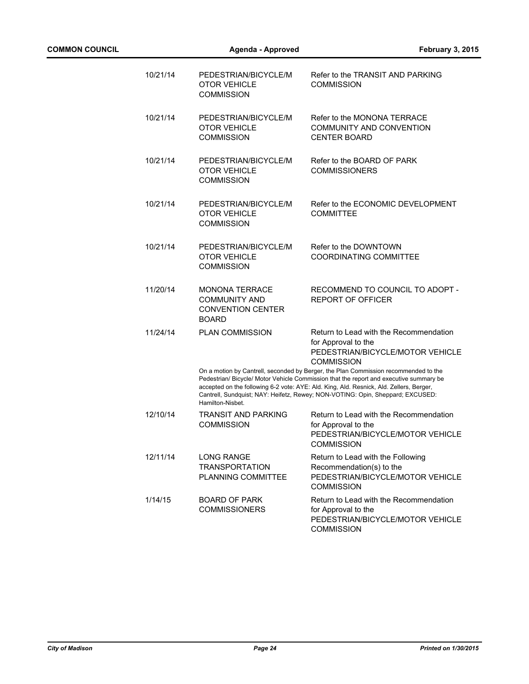| 10/21/14 | PEDESTRIAN/BICYCLE/M<br><b>OTOR VEHICLE</b><br><b>COMMISSION</b>                          | Refer to the TRANSIT AND PARKING<br><b>COMMISSION</b>                                                                                                                                                                                                                                                                                                                                                                                                                                |
|----------|-------------------------------------------------------------------------------------------|--------------------------------------------------------------------------------------------------------------------------------------------------------------------------------------------------------------------------------------------------------------------------------------------------------------------------------------------------------------------------------------------------------------------------------------------------------------------------------------|
| 10/21/14 | PEDESTRIAN/BICYCLE/M<br><b>OTOR VEHICLE</b><br><b>COMMISSION</b>                          | Refer to the MONONA TERRACE<br><b>COMMUNITY AND CONVENTION</b><br><b>CENTER BOARD</b>                                                                                                                                                                                                                                                                                                                                                                                                |
| 10/21/14 | PEDESTRIAN/BICYCLE/M<br><b>OTOR VEHICLE</b><br><b>COMMISSION</b>                          | Refer to the BOARD OF PARK<br><b>COMMISSIONERS</b>                                                                                                                                                                                                                                                                                                                                                                                                                                   |
| 10/21/14 | PEDESTRIAN/BICYCLE/M<br><b>OTOR VEHICLE</b><br><b>COMMISSION</b>                          | Refer to the ECONOMIC DEVELOPMENT<br><b>COMMITTEE</b>                                                                                                                                                                                                                                                                                                                                                                                                                                |
| 10/21/14 | PEDESTRIAN/BICYCLE/M<br><b>OTOR VEHICLE</b><br><b>COMMISSION</b>                          | Refer to the DOWNTOWN<br><b>COORDINATING COMMITTEE</b>                                                                                                                                                                                                                                                                                                                                                                                                                               |
| 11/20/14 | <b>MONONA TERRACE</b><br><b>COMMUNITY AND</b><br><b>CONVENTION CENTER</b><br><b>BOARD</b> | RECOMMEND TO COUNCIL TO ADOPT -<br><b>REPORT OF OFFICER</b>                                                                                                                                                                                                                                                                                                                                                                                                                          |
| 11/24/14 | <b>PLAN COMMISSION</b><br>Hamilton-Nisbet.                                                | Return to Lead with the Recommendation<br>for Approval to the<br>PEDESTRIAN/BICYCLE/MOTOR VEHICLE<br><b>COMMISSION</b><br>On a motion by Cantrell, seconded by Berger, the Plan Commission recommended to the<br>Pedestrian/ Bicycle/ Motor Vehicle Commission that the report and executive summary be<br>accepted on the following 6-2 vote: AYE: Ald. King, Ald. Resnick, Ald. Zellers, Berger,<br>Cantrell, Sundquist; NAY: Heifetz, Rewey; NON-VOTING: Opin, Sheppard; EXCUSED: |
| 12/10/14 | <b>TRANSIT AND PARKING</b><br><b>COMMISSION</b>                                           | Return to Lead with the Recommendation<br>for Approval to the<br>PEDESTRIAN/BICYCLE/MOTOR VEHICLE<br><b>COMMISSION</b>                                                                                                                                                                                                                                                                                                                                                               |
| 12/11/14 | LONG RANGE<br><b>TRANSPORTATION</b><br>PLANNING COMMITTEE                                 | Return to Lead with the Following<br>Recommendation(s) to the<br>PEDESTRIAN/BICYCLE/MOTOR VEHICLE<br><b>COMMISSION</b>                                                                                                                                                                                                                                                                                                                                                               |
| 1/14/15  | <b>BOARD OF PARK</b><br><b>COMMISSIONERS</b>                                              | Return to Lead with the Recommendation<br>for Approval to the<br>PEDESTRIAN/BICYCLE/MOTOR VEHICLE<br><b>COMMISSION</b>                                                                                                                                                                                                                                                                                                                                                               |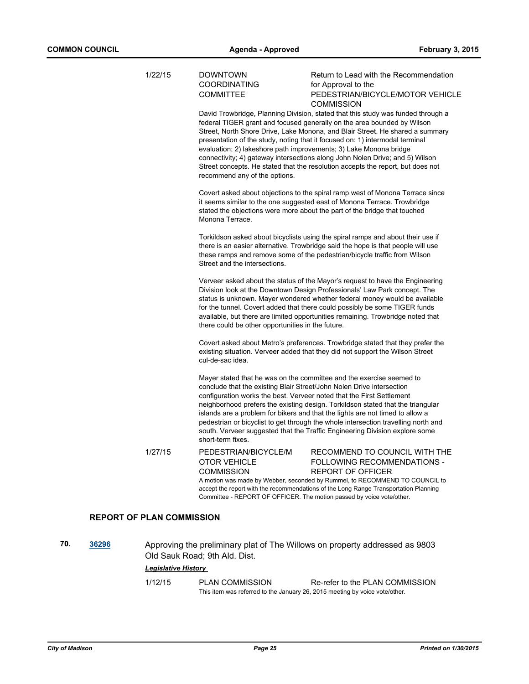| 1/22/15                          | <b>DOWNTOWN</b><br><b>COORDINATING</b>                           | Return to Lead with the Recommendation<br>for Approval to the                                                                                                                                                                                                                                                                                                                                                                                                                                                                                                        |
|----------------------------------|------------------------------------------------------------------|----------------------------------------------------------------------------------------------------------------------------------------------------------------------------------------------------------------------------------------------------------------------------------------------------------------------------------------------------------------------------------------------------------------------------------------------------------------------------------------------------------------------------------------------------------------------|
|                                  | <b>COMMITTEE</b>                                                 | PEDESTRIAN/BICYCLE/MOTOR VEHICLE<br><b>COMMISSION</b>                                                                                                                                                                                                                                                                                                                                                                                                                                                                                                                |
|                                  | recommend any of the options.                                    | David Trowbridge, Planning Division, stated that this study was funded through a<br>federal TIGER grant and focused generally on the area bounded by Wilson<br>Street, North Shore Drive, Lake Monona, and Blair Street. He shared a summary<br>presentation of the study, noting that it focused on: 1) intermodal terminal<br>evaluation; 2) lakeshore path improvements; 3) Lake Monona bridge<br>connectivity; 4) gateway intersections along John Nolen Drive; and 5) Wilson<br>Street concepts. He stated that the resolution accepts the report, but does not |
|                                  | Monona Terrace.                                                  | Covert asked about objections to the spiral ramp west of Monona Terrace since<br>it seems similar to the one suggested east of Monona Terrace. Trowbridge<br>stated the objections were more about the part of the bridge that touched                                                                                                                                                                                                                                                                                                                               |
|                                  | Street and the intersections.                                    | Torkildson asked about bicyclists using the spiral ramps and about their use if<br>there is an easier alternative. Trowbridge said the hope is that people will use<br>these ramps and remove some of the pedestrian/bicycle traffic from Wilson                                                                                                                                                                                                                                                                                                                     |
|                                  | there could be other opportunities in the future.                | Verveer asked about the status of the Mayor's request to have the Engineering<br>Division look at the Downtown Design Professionals' Law Park concept. The<br>status is unknown. Mayer wondered whether federal money would be available<br>for the tunnel. Covert added that there could possibly be some TIGER funds<br>available, but there are limited opportunities remaining. Trowbridge noted that                                                                                                                                                            |
|                                  | cul-de-sac idea.                                                 | Covert asked about Metro's preferences. Trowbridge stated that they prefer the<br>existing situation. Verveer added that they did not support the Wilson Street                                                                                                                                                                                                                                                                                                                                                                                                      |
|                                  | short-term fixes.                                                | Mayer stated that he was on the committee and the exercise seemed to<br>conclude that the existing Blair Street/John Nolen Drive intersection<br>configuration works the best. Verveer noted that the First Settlement<br>neighborhood prefers the existing design. Torkildson stated that the triangular<br>islands are a problem for bikers and that the lights are not timed to allow a<br>pedestrian or bicyclist to get through the whole intersection travelling north and<br>south. Verveer suggested that the Traffic Engineering Division explore some      |
| 1/27/15                          | PEDESTRIAN/BICYCLE/M<br><b>OTOR VEHICLE</b><br><b>COMMISSION</b> | RECOMMEND TO COUNCIL WITH THE<br>FOLLOWING RECOMMENDATIONS -<br><b>REPORT OF OFFICER</b><br>A motion was made by Webber, seconded by Rummel, to RECOMMEND TO COUNCIL to<br>accept the report with the recommendations of the Long Range Transportation Planning<br>Committee - REPORT OF OFFICER. The motion passed by voice vote/other.                                                                                                                                                                                                                             |
| <b>REPORT OF PLAN COMMISSION</b> |                                                                  |                                                                                                                                                                                                                                                                                                                                                                                                                                                                                                                                                                      |

**70. [36296](http://madison.legistar.com/gateway.aspx?m=l&id=/matter.aspx?key=39299)** Approving the preliminary plat of The Willows on property addressed as 9803 Old Sauk Road; 9th Ald. Dist.

## *Legislative History*

1/12/15 PLAN COMMISSION Re-refer to the PLAN COMMISSION This item was referred to the January 26, 2015 meeting by voice vote/other.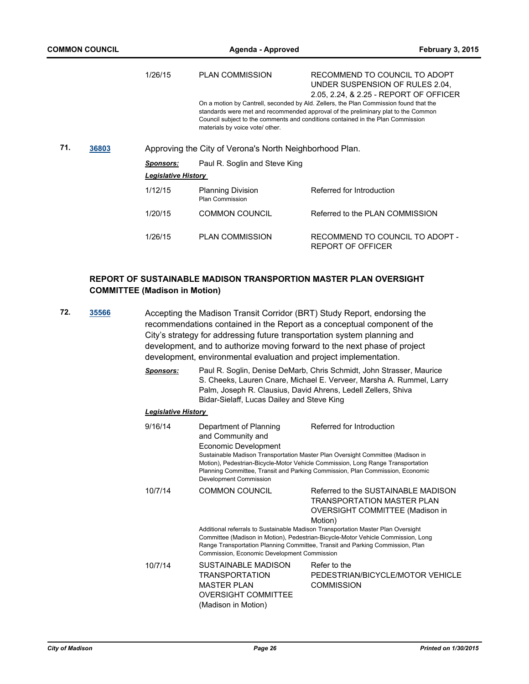|     |       | 1/26/15                                                 | <b>PLAN COMMISSION</b>                             | RECOMMEND TO COUNCIL TO ADOPT<br>UNDER SUSPENSION OF RULES 2.04.<br>2.05, 2.24, & 2.25 - REPORT OF OFFICER                                                                                                                                                    |
|-----|-------|---------------------------------------------------------|----------------------------------------------------|---------------------------------------------------------------------------------------------------------------------------------------------------------------------------------------------------------------------------------------------------------------|
|     |       |                                                         | materials by voice vote/ other.                    | On a motion by Cantrell, seconded by Ald. Zellers, the Plan Commission found that the<br>standards were met and recommended approval of the preliminary plat to the Common<br>Council subject to the comments and conditions contained in the Plan Commission |
| 71. | 36803 | Approving the City of Verona's North Neighborhood Plan. |                                                    |                                                                                                                                                                                                                                                               |
|     |       | <b>Sponsors:</b>                                        | Paul R. Soglin and Steve King                      |                                                                                                                                                                                                                                                               |
|     |       | <b>Legislative History</b>                              |                                                    |                                                                                                                                                                                                                                                               |
|     |       | 1/12/15                                                 | <b>Planning Division</b><br><b>Plan Commission</b> | Referred for Introduction                                                                                                                                                                                                                                     |
|     |       | 1/20/15                                                 | <b>COMMON COUNCIL</b>                              | Referred to the PLAN COMMISSION                                                                                                                                                                                                                               |
|     |       | 1/26/15                                                 | <b>PLAN COMMISSION</b>                             | RECOMMEND TO COUNCIL TO ADOPT -<br>REPORT OF OFFICER                                                                                                                                                                                                          |

## **REPORT OF SUSTAINABLE MADISON TRANSPORTION MASTER PLAN OVERSIGHT COMMITTEE (Madison in Motion)**

- **72. [35566](http://madison.legistar.com/gateway.aspx?m=l&id=/matter.aspx?key=38624)** Accepting the Madison Transit Corridor (BRT) Study Report, endorsing the recommendations contained in the Report as a conceptual component of the City's strategy for addressing future transportation system planning and development, and to authorize moving forward to the next phase of project development, environmental evaluation and project implementation.
	- *Sponsors:* Paul R. Soglin, Denise DeMarb, Chris Schmidt, John Strasser, Maurice S. Cheeks, Lauren Cnare, Michael E. Verveer, Marsha A. Rummel, Larry Palm, Joseph R. Clausius, David Ahrens, Ledell Zellers, Shiva Bidar-Sielaff, Lucas Dailey and Steve King

| 9/16/14 | Department of Planning<br>and Community and<br>Economic Development<br>Development Commission                                  | Referred for Introduction<br>Sustainable Madison Transportation Master Plan Oversight Committee (Madison in<br>Motion), Pedestrian-Bicycle-Motor Vehicle Commission, Long Range Transportation<br>Planning Committee, Transit and Parking Commission, Plan Commission, Economic                                                                                                 |
|---------|--------------------------------------------------------------------------------------------------------------------------------|---------------------------------------------------------------------------------------------------------------------------------------------------------------------------------------------------------------------------------------------------------------------------------------------------------------------------------------------------------------------------------|
| 10/7/14 | <b>COMMON COUNCIL</b><br>Commission, Economic Development Commission                                                           | Referred to the SUSTAINABLE MADISON<br><b>TRANSPORTATION MASTER PLAN</b><br>OVERSIGHT COMMITTEE (Madison in<br>Motion)<br>Additional referrals to Sustainable Madison Transportation Master Plan Oversight<br>Committee (Madison in Motion), Pedestrian-Bicycle-Motor Vehicle Commission, Long<br>Range Transportation Planning Committee, Transit and Parking Commission, Plan |
| 10/7/14 | <b>SUSTAINABLE MADISON</b><br><b>TRANSPORTATION</b><br><b>MASTER PLAN</b><br><b>OVERSIGHT COMMITTEE</b><br>(Madison in Motion) | Refer to the<br>PEDESTRIAN/BICYCLE/MOTOR VEHICLE<br><b>COMMISSION</b>                                                                                                                                                                                                                                                                                                           |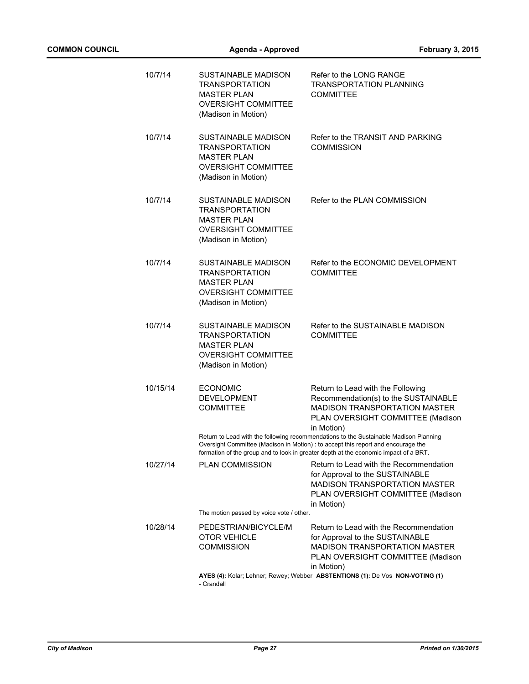| 10/7/14  | SUSTAINABLE MADISON<br><b>TRANSPORTATION</b><br><b>MASTER PLAN</b><br><b>OVERSIGHT COMMITTEE</b><br>(Madison in Motion)        | Refer to the LONG RANGE<br><b>TRANSPORTATION PLANNING</b><br>COMMITTEE                                                                                                                                                                                                                                                                                                                                                                     |
|----------|--------------------------------------------------------------------------------------------------------------------------------|--------------------------------------------------------------------------------------------------------------------------------------------------------------------------------------------------------------------------------------------------------------------------------------------------------------------------------------------------------------------------------------------------------------------------------------------|
| 10/7/14  | SUSTAINABLE MADISON<br><b>TRANSPORTATION</b><br><b>MASTER PLAN</b><br><b>OVERSIGHT COMMITTEE</b><br>(Madison in Motion)        | Refer to the TRANSIT AND PARKING<br><b>COMMISSION</b>                                                                                                                                                                                                                                                                                                                                                                                      |
| 10/7/14  | <b>SUSTAINABLE MADISON</b><br><b>TRANSPORTATION</b><br><b>MASTER PLAN</b><br><b>OVERSIGHT COMMITTEE</b><br>(Madison in Motion) | Refer to the PLAN COMMISSION                                                                                                                                                                                                                                                                                                                                                                                                               |
| 10/7/14  | <b>SUSTAINABLE MADISON</b><br><b>TRANSPORTATION</b><br><b>MASTER PLAN</b><br><b>OVERSIGHT COMMITTEE</b><br>(Madison in Motion) | Refer to the ECONOMIC DEVELOPMENT<br><b>COMMITTEE</b>                                                                                                                                                                                                                                                                                                                                                                                      |
| 10/7/14  | <b>SUSTAINABLE MADISON</b><br><b>TRANSPORTATION</b><br><b>MASTER PLAN</b><br><b>OVERSIGHT COMMITTEE</b><br>(Madison in Motion) | Refer to the SUSTAINABLE MADISON<br><b>COMMITTEE</b>                                                                                                                                                                                                                                                                                                                                                                                       |
| 10/15/14 | <b>ECONOMIC</b><br><b>DEVELOPMENT</b><br><b>COMMITTEE</b>                                                                      | Return to Lead with the Following<br>Recommendation(s) to the SUSTAINABLE<br><b>MADISON TRANSPORTATION MASTER</b><br>PLAN OVERSIGHT COMMITTEE (Madison<br>in Motion)<br>Return to Lead with the following recommendations to the Sustainable Madison Planning<br>Oversight Committee (Madison in Motion) : to accept this report and encourage the<br>formation of the group and to look in greater depth at the economic impact of a BRT. |
| 10/27/14 | <b>PLAN COMMISSION</b>                                                                                                         | Return to Lead with the Recommendation<br>for Approval to the SUSTAINABLE<br>MADISON TRANSPORTATION MASTER<br>PLAN OVERSIGHT COMMITTEE (Madison<br>in Motion)                                                                                                                                                                                                                                                                              |
|          | The motion passed by voice vote / other.                                                                                       |                                                                                                                                                                                                                                                                                                                                                                                                                                            |
| 10/28/14 | PEDESTRIAN/BICYCLE/M<br><b>OTOR VEHICLE</b><br><b>COMMISSION</b>                                                               | Return to Lead with the Recommendation<br>for Approval to the SUSTAINABLE<br><b>MADISON TRANSPORTATION MASTER</b><br>PLAN OVERSIGHT COMMITTEE (Madison<br>in Motion)                                                                                                                                                                                                                                                                       |
|          | - Crandall                                                                                                                     | AYES (4): Kolar; Lehner; Rewey; Webber ABSTENTIONS (1): De Vos NON-VOTING (1)                                                                                                                                                                                                                                                                                                                                                              |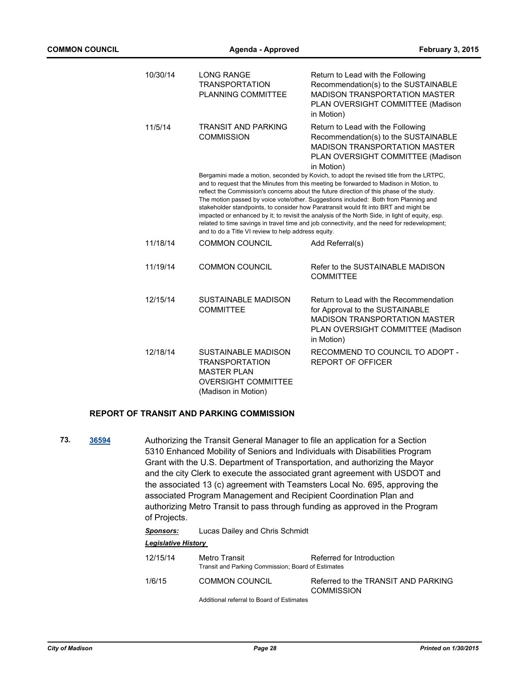| 10/30/14 | <b>LONG RANGE</b><br><b>TRANSPORTATION</b><br><b>PLANNING COMMITTEE</b>                                                        | Return to Lead with the Following<br>Recommendation(s) to the SUSTAINABLE<br>MADISON TRANSPORTATION MASTER<br>PLAN OVERSIGHT COMMITTEE (Madison<br>in Motion)                                                                                                                                                                                                                                                                                                                                                                                                                                                                                                    |
|----------|--------------------------------------------------------------------------------------------------------------------------------|------------------------------------------------------------------------------------------------------------------------------------------------------------------------------------------------------------------------------------------------------------------------------------------------------------------------------------------------------------------------------------------------------------------------------------------------------------------------------------------------------------------------------------------------------------------------------------------------------------------------------------------------------------------|
| 11/5/14  | <b>TRANSIT AND PARKING</b><br><b>COMMISSION</b>                                                                                | Return to Lead with the Following<br>Recommendation(s) to the SUSTAINABLE<br><b>MADISON TRANSPORTATION MASTER</b><br>PLAN OVERSIGHT COMMITTEE (Madison<br>in Motion)                                                                                                                                                                                                                                                                                                                                                                                                                                                                                             |
|          | and to do a Title VI review to help address equity.                                                                            | Bergamini made a motion, seconded by Kovich, to adopt the revised title from the LRTPC,<br>and to request that the Minutes from this meeting be forwarded to Madison in Motion, to<br>reflect the Commission's concerns about the future direction of this phase of the study.<br>The motion passed by voice vote/other. Suggestions included: Both from Planning and<br>stakeholder standpoints, to consider how Paratransit would fit into BRT and might be<br>impacted or enhanced by it; to revisit the analysis of the North Side, in light of equity, esp.<br>related to time savings in travel time and job connectivity, and the need for redevelopment; |
| 11/18/14 | <b>COMMON COUNCIL</b>                                                                                                          | Add Referral(s)                                                                                                                                                                                                                                                                                                                                                                                                                                                                                                                                                                                                                                                  |
| 11/19/14 | <b>COMMON COUNCIL</b>                                                                                                          | Refer to the SUSTAINABLE MADISON<br><b>COMMITTEE</b>                                                                                                                                                                                                                                                                                                                                                                                                                                                                                                                                                                                                             |
| 12/15/14 | SUSTAINABLE MADISON<br><b>COMMITTEE</b>                                                                                        | Return to Lead with the Recommendation<br>for Approval to the SUSTAINABLE<br><b>MADISON TRANSPORTATION MASTER</b><br>PLAN OVERSIGHT COMMITTEE (Madison<br>in Motion)                                                                                                                                                                                                                                                                                                                                                                                                                                                                                             |
| 12/18/14 | <b>SUSTAINABLE MADISON</b><br><b>TRANSPORTATION</b><br><b>MASTER PLAN</b><br><b>OVERSIGHT COMMITTEE</b><br>(Madison in Motion) | RECOMMEND TO COUNCIL TO ADOPT -<br><b>REPORT OF OFFICER</b>                                                                                                                                                                                                                                                                                                                                                                                                                                                                                                                                                                                                      |

## **REPORT OF TRANSIT AND PARKING COMMISSION**

**73. [36594](http://madison.legistar.com/gateway.aspx?m=l&id=/matter.aspx?key=39531)** Authorizing the Transit General Manager to file an application for a Section 5310 Enhanced Mobility of Seniors and Individuals with Disabilities Program Grant with the U.S. Department of Transportation, and authorizing the Mayor and the city Clerk to execute the associated grant agreement with USDOT and the associated 13 (c) agreement with Teamsters Local No. 695, approving the associated Program Management and Recipient Coordination Plan and authorizing Metro Transit to pass through funding as approved in the Program of Projects.

| 12/15/14 | Metro Transit<br>Transit and Parking Commission; Board of Estimates | Referred for Introduction                                |
|----------|---------------------------------------------------------------------|----------------------------------------------------------|
| 1/6/15   | COMMON COUNCIL                                                      | Referred to the TRANSIT AND PARKING<br><b>COMMISSION</b> |
|          | Additional referral to Board of Estimates                           |                                                          |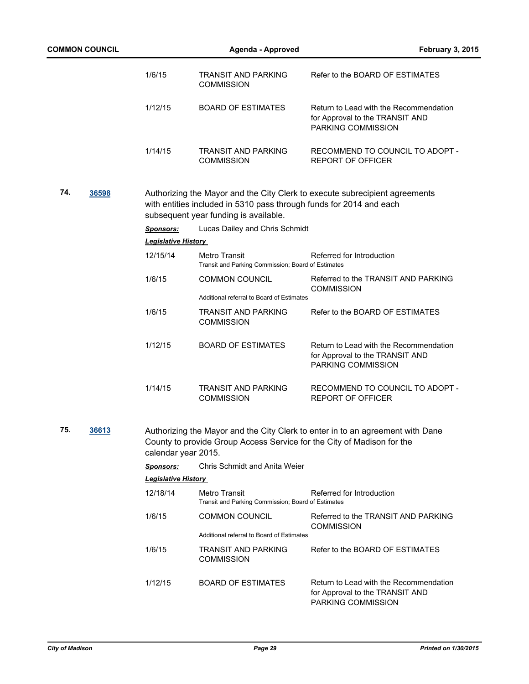|     | <b>COMMON COUNCIL</b> |                            | <b>Agenda - Approved</b>                                                                                     | <b>February 3, 2015</b>                                                                         |
|-----|-----------------------|----------------------------|--------------------------------------------------------------------------------------------------------------|-------------------------------------------------------------------------------------------------|
|     |                       | 1/6/15                     | <b>TRANSIT AND PARKING</b><br><b>COMMISSION</b>                                                              | Refer to the BOARD OF ESTIMATES                                                                 |
|     |                       | 1/12/15                    | <b>BOARD OF ESTIMATES</b>                                                                                    | Return to Lead with the Recommendation<br>for Approval to the TRANSIT AND<br>PARKING COMMISSION |
|     |                       | 1/14/15                    | <b>TRANSIT AND PARKING</b><br><b>COMMISSION</b>                                                              | RECOMMEND TO COUNCIL TO ADOPT -<br><b>REPORT OF OFFICER</b>                                     |
| 74. | 36598                 |                            | with entities included in 5310 pass through funds for 2014 and each<br>subsequent year funding is available. | Authorizing the Mayor and the City Clerk to execute subrecipient agreements                     |
|     |                       | <b>Sponsors:</b>           | Lucas Dailey and Chris Schmidt                                                                               |                                                                                                 |
|     |                       | <b>Legislative History</b> |                                                                                                              |                                                                                                 |
|     |                       | 12/15/14                   | <b>Metro Transit</b><br>Transit and Parking Commission; Board of Estimates                                   | Referred for Introduction                                                                       |
|     |                       | 1/6/15                     | <b>COMMON COUNCIL</b>                                                                                        | Referred to the TRANSIT AND PARKING<br><b>COMMISSION</b>                                        |
|     |                       |                            | Additional referral to Board of Estimates                                                                    |                                                                                                 |
|     |                       | 1/6/15                     | <b>TRANSIT AND PARKING</b><br><b>COMMISSION</b>                                                              | Refer to the BOARD OF ESTIMATES                                                                 |
|     |                       | 1/12/15                    | <b>BOARD OF ESTIMATES</b>                                                                                    | Return to Lead with the Recommendation<br>for Approval to the TRANSIT AND<br>PARKING COMMISSION |
|     |                       | 1/14/15                    | <b>TRANSIT AND PARKING</b><br><b>COMMISSION</b>                                                              | RECOMMEND TO COUNCIL TO ADOPT -<br><b>REPORT OF OFFICER</b>                                     |
| 75. | 36613                 | calendar year 2015.        | County to provide Group Access Service for the City of Madison for the                                       | Authorizing the Mayor and the City Clerk to enter in to an agreement with Dane                  |
|     |                       | <b>Sponsors:</b>           | <b>Chris Schmidt and Anita Weier</b>                                                                         |                                                                                                 |
|     |                       | Legislative History        |                                                                                                              |                                                                                                 |
|     |                       | 12/18/14                   | Metro Transit<br>Transit and Parking Commission; Board of Estimates                                          | Referred for Introduction                                                                       |
|     |                       | 1/6/15                     | <b>COMMON COUNCIL</b>                                                                                        | Referred to the TRANSIT AND PARKING<br><b>COMMISSION</b>                                        |
|     |                       |                            | Additional referral to Board of Estimates                                                                    |                                                                                                 |
|     |                       | 1/6/15                     | <b>TRANSIT AND PARKING</b><br><b>COMMISSION</b>                                                              | Refer to the BOARD OF ESTIMATES                                                                 |
|     |                       | 1/12/15                    | <b>BOARD OF ESTIMATES</b>                                                                                    | Return to Lead with the Recommendation<br>for Approval to the TRANSIT AND<br>PARKING COMMISSION |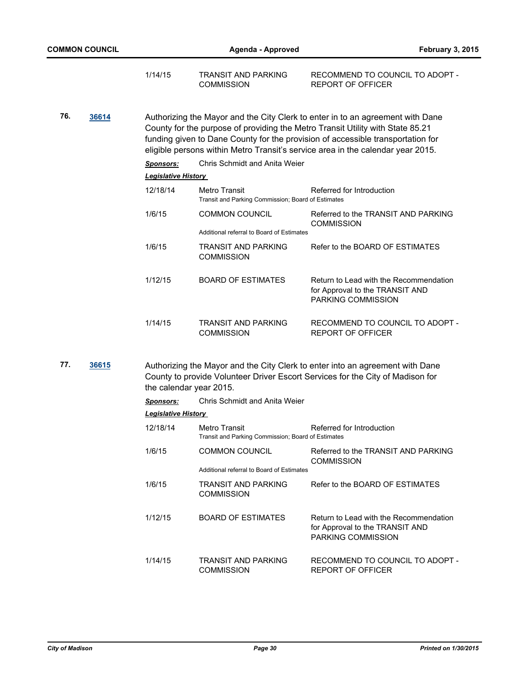| 1/14/15 | TRANSIT AND PARKING | RECOMMEND TO COUNCIL TO ADOPT - |
|---------|---------------------|---------------------------------|
|         | <b>COMMISSION</b>   | REPORT OF OFFICER               |

**76. [36614](http://madison.legistar.com/gateway.aspx?m=l&id=/matter.aspx?key=39547)** Authorizing the Mayor and the City Clerk to enter in to an agreement with Dane County for the purpose of providing the Metro Transit Utility with State 85.21 funding given to Dane County for the provision of accessible transportation for eligible persons within Metro Transit's service area in the calendar year 2015.

|                            | <b>Sponsors:</b> | Chris Schmidt and Anita Weier                                       |                                                                                                        |  |
|----------------------------|------------------|---------------------------------------------------------------------|--------------------------------------------------------------------------------------------------------|--|
| <b>Legislative History</b> |                  |                                                                     |                                                                                                        |  |
|                            | 12/18/14         | Metro Transit<br>Transit and Parking Commission; Board of Estimates | Referred for Introduction                                                                              |  |
|                            | 1/6/15           | <b>COMMON COUNCIL</b><br>Additional referral to Board of Estimates  | Referred to the TRANSIT AND PARKING<br><b>COMMISSION</b>                                               |  |
|                            | 1/6/15           | TRANSIT AND PARKING<br><b>COMMISSION</b>                            | Refer to the BOARD OF ESTIMATES                                                                        |  |
|                            | 1/12/15          | <b>BOARD OF ESTIMATES</b>                                           | Return to Lead with the Recommendation<br>for Approval to the TRANSIT AND<br><b>PARKING COMMISSION</b> |  |
|                            | 1/14/15          | TRANSIT AND PARKING<br>COMMISSION                                   | RECOMMEND TO COUNCIL TO ADOPT -<br>REPORT OF OFFICER                                                   |  |

**77. [36615](http://madison.legistar.com/gateway.aspx?m=l&id=/matter.aspx?key=39548)** Authorizing the Mayor and the City Clerk to enter into an agreement with Dane County to provide Volunteer Driver Escort Services for the City of Madison for the calendar year 2015.

*Sponsors:* Chris Schmidt and Anita Weier

| 12/18/14 | Metro Transit<br>Transit and Parking Commission; Board of Estimates | Referred for Introduction                                                                       |
|----------|---------------------------------------------------------------------|-------------------------------------------------------------------------------------------------|
| 1/6/15   | <b>COMMON COUNCIL</b><br>Additional referral to Board of Estimates  | Referred to the TRANSIT AND PARKING<br><b>COMMISSION</b>                                        |
| 1/6/15   | TRANSIT AND PARKING<br><b>COMMISSION</b>                            | Refer to the BOARD OF ESTIMATES                                                                 |
| 1/12/15  | <b>BOARD OF ESTIMATES</b>                                           | Return to Lead with the Recommendation<br>for Approval to the TRANSIT AND<br>PARKING COMMISSION |
| 1/14/15  | TRANSIT AND PARKING<br><b>COMMISSION</b>                            | RECOMMEND TO COUNCIL TO ADOPT -<br>REPORT OF OFFICER                                            |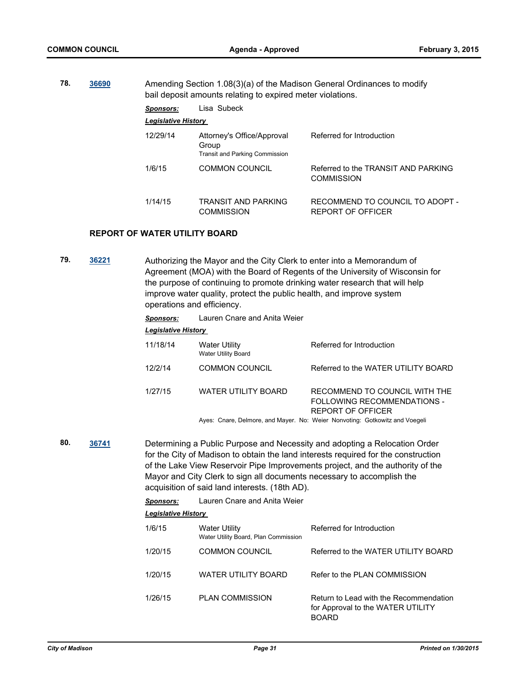**78. [36690](http://madison.legistar.com/gateway.aspx?m=l&id=/matter.aspx?key=39623)** Amending Section 1.08(3)(a) of the Madison General Ordinances to modify bail deposit amounts relating to expired meter violations. *Sponsors:* Lisa Subeck *Legislative History*  12/29/14 Attorney's Office/Approval Group Referred for Introduction

|         | <b>Transit and Parking Commission</b>    |                                                             |  |  |  |  |
|---------|------------------------------------------|-------------------------------------------------------------|--|--|--|--|
| 1/6/15  | COMMON COUNCIL                           | Referred to the TRANSIT AND PARKING<br><b>COMMISSION</b>    |  |  |  |  |
| 1/14/15 | TRANSIT AND PARKING<br><b>COMMISSION</b> | RECOMMEND TO COUNCIL TO ADOPT -<br><b>REPORT OF OFFICER</b> |  |  |  |  |

#### **REPORT OF WATER UTILITY BOARD**

**79. [36221](http://madison.legistar.com/gateway.aspx?m=l&id=/matter.aspx?key=39224)** Authorizing the Mayor and the City Clerk to enter into a Memorandum of Agreement (MOA) with the Board of Regents of the University of Wisconsin for the purpose of continuing to promote drinking water research that will help improve water quality, protect the public health, and improve system operations and efficiency.

*Sponsors:* Lauren Cnare and Anita Weier

## *Legislative History*

| 11/18/14 | <b>Water Utility</b><br><b>Water Utility Board</b> | Referred for Introduction                                                                |
|----------|----------------------------------------------------|------------------------------------------------------------------------------------------|
| 12/2/14  | <b>COMMON COUNCIL</b>                              | Referred to the WATER UTILITY BOARD                                                      |
| 1/27/15  | <b>WATER UTILITY BOARD</b>                         | RECOMMEND TO COUNCIL WITH THE<br>FOLLOWING RECOMMENDATIONS -<br><b>REPORT OF OFFICER</b> |
|          |                                                    | Arrest Owner Delacese and Marrie Alex Michael Newcathers Oethernite and Vacanti          |

Ayes: Cnare, Delmore, and Mayer. No: Weier Nonvoting: Gotkowitz and Voegeli

**80. [36741](http://madison.legistar.com/gateway.aspx?m=l&id=/matter.aspx?key=39672)** Determining a Public Purpose and Necessity and adopting a Relocation Order for the City of Madison to obtain the land interests required for the construction of the Lake View Reservoir Pipe Improvements project, and the authority of the Mayor and City Clerk to sign all documents necessary to accomplish the acquisition of said land interests. (18th AD).

| <b>Sponsors:</b> | Lauren Cnare and Anita Weier |  |
|------------------|------------------------------|--|
|------------------|------------------------------|--|

| 1/6/15  | <b>Water Utility</b><br>Water Utility Board, Plan Commission | Referred for Introduction                                                                   |
|---------|--------------------------------------------------------------|---------------------------------------------------------------------------------------------|
| 1/20/15 | <b>COMMON COUNCIL</b>                                        | Referred to the WATER UTILITY BOARD                                                         |
| 1/20/15 | WATER UTILITY BOARD                                          | Refer to the PLAN COMMISSION                                                                |
| 1/26/15 | <b>PLAN COMMISSION</b>                                       | Return to Lead with the Recommendation<br>for Approval to the WATER UTILITY<br><b>BOARD</b> |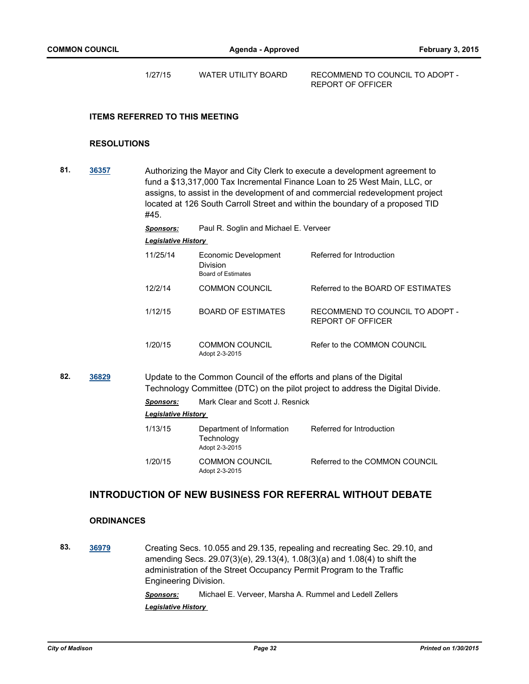1/27/15 WATER UTILITY BOARD RECOMMEND TO COUNCIL TO ADOPT -

REPORT OF OFFICER

## **ITEMS REFERRED TO THIS MEETING**

#### **RESOLUTIONS**

**81. [36357](http://madison.legistar.com/gateway.aspx?m=l&id=/matter.aspx?key=39356)** Authorizing the Mayor and City Clerk to execute a development agreement to fund a \$13,317,000 Tax Incremental Finance Loan to 25 West Main, LLC, or assigns, to assist in the development of and commercial redevelopment project located at 126 South Carroll Street and within the boundary of a proposed TID #45. *Sponsors:* Paul R. Soglin and Michael E. Verveer *Legislative History*  11/25/14 Economic Development Division Referred for Introduction Board of Estimates 12/2/14 COMMON COUNCIL Referred to the BOARD OF ESTIMATES 1/12/15 BOARD OF ESTIMATES RECOMMEND TO COUNCIL TO ADOPT - REPORT OF OFFICER 1/20/15 COMMON COUNCIL Refer to the COMMON COUNCIL Adopt 2-3-2015 **82. [36829](http://madison.legistar.com/gateway.aspx?m=l&id=/matter.aspx?key=39745)** Update to the Common Council of the efforts and plans of the Digital Technology Committee (DTC) on the pilot project to address the Digital Divide. *Sponsors:* Mark Clear and Scott J. Resnick *Legislative History*  1/13/15 Department of Information **Technology** Referred for Introduction Adopt 2-3-2015 1/20/15 COMMON COUNCIL Referred to the COMMON COUNCIL

## **INTRODUCTION OF NEW BUSINESS FOR REFERRAL WITHOUT DEBATE**

Adopt 2-3-2015

#### **ORDINANCES**

**83. [36979](http://madison.legistar.com/gateway.aspx?m=l&id=/matter.aspx?key=39863)** Creating Secs. 10.055 and 29.135, repealing and recreating Sec. 29.10, and amending Secs. 29.07(3)(e), 29.13(4), 1.08(3)(a) and 1.08(4) to shift the administration of the Street Occupancy Permit Program to the Traffic Engineering Division.

> *Sponsors:* Michael E. Verveer, Marsha A. Rummel and Ledell Zellers *Legislative History*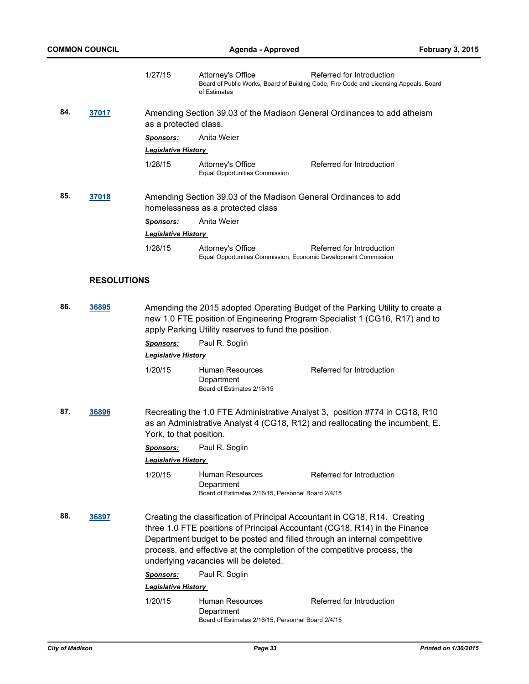|     |                    | 1/27/15                                                                                                                                                                                                              | Attorney's Office<br>of Estimates                                                                    | Referred for Introduction<br>Board of Public Works, Board of Building Code, Fire Code and Licensing Appeals, Board                                                                                                                    |  |
|-----|--------------------|----------------------------------------------------------------------------------------------------------------------------------------------------------------------------------------------------------------------|------------------------------------------------------------------------------------------------------|---------------------------------------------------------------------------------------------------------------------------------------------------------------------------------------------------------------------------------------|--|
| 84. | 37017              | Amending Section 39.03 of the Madison General Ordinances to add atheism<br>as a protected class.                                                                                                                     |                                                                                                      |                                                                                                                                                                                                                                       |  |
|     |                    | <u>Sponsors:</u>                                                                                                                                                                                                     | Anita Weier                                                                                          |                                                                                                                                                                                                                                       |  |
|     |                    | <b>Legislative History</b>                                                                                                                                                                                           |                                                                                                      |                                                                                                                                                                                                                                       |  |
|     |                    | 1/28/15                                                                                                                                                                                                              | Attorney's Office<br><b>Equal Opportunities Commission</b>                                           | Referred for Introduction                                                                                                                                                                                                             |  |
| 85. | <u>37018</u>       |                                                                                                                                                                                                                      | Amending Section 39.03 of the Madison General Ordinances to add<br>homelessness as a protected class |                                                                                                                                                                                                                                       |  |
|     |                    | <b>Sponsors:</b>                                                                                                                                                                                                     | Anita Weier                                                                                          |                                                                                                                                                                                                                                       |  |
|     |                    | <b>Legislative History</b>                                                                                                                                                                                           |                                                                                                      |                                                                                                                                                                                                                                       |  |
|     |                    | 1/28/15                                                                                                                                                                                                              | Attorney's Office<br>Equal Opportunities Commission, Economic Development Commission                 | Referred for Introduction                                                                                                                                                                                                             |  |
|     | <b>RESOLUTIONS</b> |                                                                                                                                                                                                                      |                                                                                                      |                                                                                                                                                                                                                                       |  |
| 86. | 36895              | Amending the 2015 adopted Operating Budget of the Parking Utility to create a<br>new 1.0 FTE position of Engineering Program Specialist 1 (CG16, R17) and to<br>apply Parking Utility reserves to fund the position. |                                                                                                      |                                                                                                                                                                                                                                       |  |
|     |                    | <u>Sponsors:</u>                                                                                                                                                                                                     | Paul R. Soglin                                                                                       |                                                                                                                                                                                                                                       |  |
|     |                    | <b>Legislative History</b>                                                                                                                                                                                           |                                                                                                      |                                                                                                                                                                                                                                       |  |
|     |                    | 1/20/15                                                                                                                                                                                                              | Human Resources<br>Department<br>Board of Estimates 2/16/15                                          | Referred for Introduction                                                                                                                                                                                                             |  |
| 87. | 36896              | York, to that position.                                                                                                                                                                                              |                                                                                                      | Recreating the 1.0 FTE Administrative Analyst 3, position #774 in CG18, R10<br>as an Administrative Analyst 4 (CG18, R12) and reallocating the incumbent, E.                                                                          |  |
|     |                    | <b>Sponsors:</b>                                                                                                                                                                                                     | Paul R. Soglin                                                                                       |                                                                                                                                                                                                                                       |  |
|     |                    | <b>Legislative History</b>                                                                                                                                                                                           |                                                                                                      |                                                                                                                                                                                                                                       |  |
|     |                    | 1/20/15                                                                                                                                                                                                              | Human Resources<br>Department<br>Board of Estimates 2/16/15, Personnel Board 2/4/15                  | Referred for Introduction                                                                                                                                                                                                             |  |
| 88. | 36897              |                                                                                                                                                                                                                      |                                                                                                      | Creating the classification of Principal Accountant in CG18, R14. Creating<br>three 1.0 FTE positions of Principal Accountant (CG18, R14) in the Finance<br>Department budget to be posted and filled through an internal competitive |  |

Department budget to be posted and filled through an internal competitive process, and effective at the completion of the competitive process, the underlying vacancies will be deleted.

*Sponsors:* Paul R. Soglin

## *Legislative History*

1/20/15 Human Resources Department Referred for Introduction Board of Estimates 2/16/15, Personnel Board 2/4/15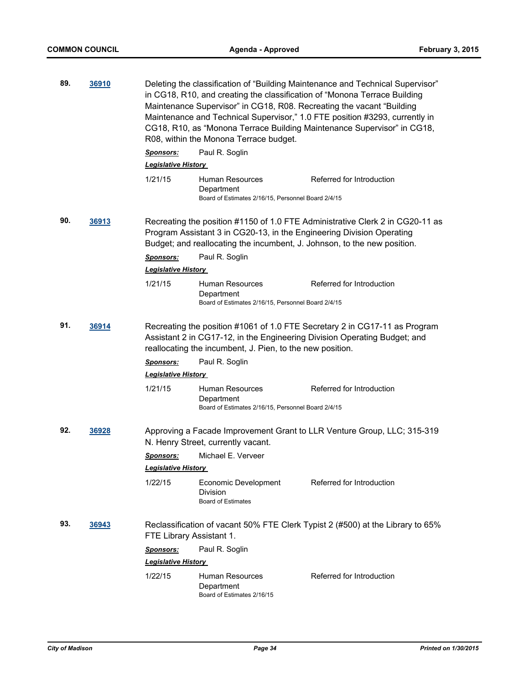| 89. | 36910 | Deleting the classification of "Building Maintenance and Technical Supervisor"<br>in CG18, R10, and creating the classification of "Monona Terrace Building<br>Maintenance Supervisor" in CG18, R08. Recreating the vacant "Building<br>Maintenance and Technical Supervisor," 1.0 FTE position #3293, currently in<br>CG18, R10, as "Monona Terrace Building Maintenance Supervisor" in CG18,<br>R08, within the Monona Terrace budget.<br>Paul R. Soglin<br><b>Sponsors:</b><br><b>Legislative History</b> |                                                                                                                                                                                                                                                            |                                                                                                            |  |
|-----|-------|--------------------------------------------------------------------------------------------------------------------------------------------------------------------------------------------------------------------------------------------------------------------------------------------------------------------------------------------------------------------------------------------------------------------------------------------------------------------------------------------------------------|------------------------------------------------------------------------------------------------------------------------------------------------------------------------------------------------------------------------------------------------------------|------------------------------------------------------------------------------------------------------------|--|
|     |       | 1/21/15                                                                                                                                                                                                                                                                                                                                                                                                                                                                                                      | Human Resources<br>Department<br>Board of Estimates 2/16/15, Personnel Board 2/4/15                                                                                                                                                                        | Referred for Introduction                                                                                  |  |
| 90. | 36913 | <b>Sponsors:</b><br>Legislative History<br>1/21/15                                                                                                                                                                                                                                                                                                                                                                                                                                                           | Program Assistant 3 in CG20-13, in the Engineering Division Operating<br>Budget; and reallocating the incumbent, J. Johnson, to the new position.<br>Paul R. Soglin<br>Human Resources<br>Department<br>Board of Estimates 2/16/15, Personnel Board 2/4/15 | Recreating the position #1150 of 1.0 FTE Administrative Clerk 2 in CG20-11 as<br>Referred for Introduction |  |
| 91. | 36914 | Recreating the position #1061 of 1.0 FTE Secretary 2 in CG17-11 as Program<br>Assistant 2 in CG17-12, in the Engineering Division Operating Budget; and<br>reallocating the incumbent, J. Pien, to the new position.                                                                                                                                                                                                                                                                                         |                                                                                                                                                                                                                                                            |                                                                                                            |  |
|     |       | <b>Sponsors:</b>                                                                                                                                                                                                                                                                                                                                                                                                                                                                                             | Paul R. Soglin                                                                                                                                                                                                                                             |                                                                                                            |  |
|     |       | <b>Legislative History</b>                                                                                                                                                                                                                                                                                                                                                                                                                                                                                   |                                                                                                                                                                                                                                                            |                                                                                                            |  |
|     |       | 1/21/15                                                                                                                                                                                                                                                                                                                                                                                                                                                                                                      | Human Resources<br>Department<br>Board of Estimates 2/16/15, Personnel Board 2/4/15                                                                                                                                                                        | Referred for Introduction                                                                                  |  |
| 92. | 36928 |                                                                                                                                                                                                                                                                                                                                                                                                                                                                                                              | N. Henry Street, currently vacant.                                                                                                                                                                                                                         | Approving a Facade Improvement Grant to LLR Venture Group, LLC; 315-319                                    |  |
|     |       | <b>Sponsors:</b>                                                                                                                                                                                                                                                                                                                                                                                                                                                                                             | Michael E. Verveer                                                                                                                                                                                                                                         |                                                                                                            |  |
|     |       | <b>Legislative History</b>                                                                                                                                                                                                                                                                                                                                                                                                                                                                                   |                                                                                                                                                                                                                                                            |                                                                                                            |  |
|     |       | 1/22/15                                                                                                                                                                                                                                                                                                                                                                                                                                                                                                      | Economic Development<br>Division<br><b>Board of Estimates</b>                                                                                                                                                                                              | Referred for Introduction                                                                                  |  |
| 93. | 36943 | FTE Library Assistant 1.                                                                                                                                                                                                                                                                                                                                                                                                                                                                                     |                                                                                                                                                                                                                                                            | Reclassification of vacant 50% FTE Clerk Typist 2 (#500) at the Library to 65%                             |  |
|     |       | <u>Sponsors:</u>                                                                                                                                                                                                                                                                                                                                                                                                                                                                                             | Paul R. Soglin                                                                                                                                                                                                                                             |                                                                                                            |  |
|     |       | <b>Legislative History</b>                                                                                                                                                                                                                                                                                                                                                                                                                                                                                   |                                                                                                                                                                                                                                                            |                                                                                                            |  |
|     |       | 1/22/15                                                                                                                                                                                                                                                                                                                                                                                                                                                                                                      | <b>Human Resources</b><br>Department<br>Board of Estimates 2/16/15                                                                                                                                                                                         | Referred for Introduction                                                                                  |  |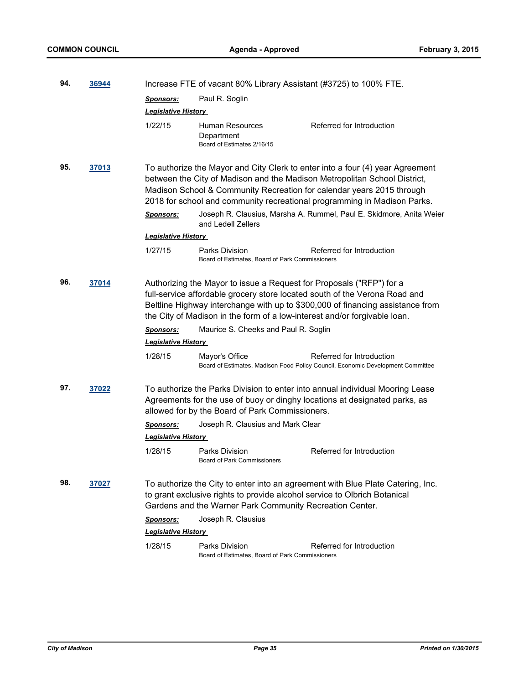| 94. | 36944 |                                                                                                                                                                                                                                                                                                                 | Increase FTE of vacant 80% Library Assistant (#3725) to 100% FTE.                                                                                 |                                                                                                                                                              |  |
|-----|-------|-----------------------------------------------------------------------------------------------------------------------------------------------------------------------------------------------------------------------------------------------------------------------------------------------------------------|---------------------------------------------------------------------------------------------------------------------------------------------------|--------------------------------------------------------------------------------------------------------------------------------------------------------------|--|
|     |       | <u>Sponsors:</u>                                                                                                                                                                                                                                                                                                | Paul R. Soglin                                                                                                                                    |                                                                                                                                                              |  |
|     |       | Legislative History                                                                                                                                                                                                                                                                                             |                                                                                                                                                   |                                                                                                                                                              |  |
|     |       | 1/22/15                                                                                                                                                                                                                                                                                                         | Human Resources<br>Department<br>Board of Estimates 2/16/15                                                                                       | Referred for Introduction                                                                                                                                    |  |
| 95. | 37013 | To authorize the Mayor and City Clerk to enter into a four (4) year Agreement<br>between the City of Madison and the Madison Metropolitan School District,<br>Madison School & Community Recreation for calendar years 2015 through<br>2018 for school and community recreational programming in Madison Parks. |                                                                                                                                                   |                                                                                                                                                              |  |
|     |       | <b>Sponsors:</b>                                                                                                                                                                                                                                                                                                | and Ledell Zellers                                                                                                                                | Joseph R. Clausius, Marsha A. Rummel, Paul E. Skidmore, Anita Weier                                                                                          |  |
|     |       | <b>Legislative History</b>                                                                                                                                                                                                                                                                                      |                                                                                                                                                   |                                                                                                                                                              |  |
|     |       | 1/27/15                                                                                                                                                                                                                                                                                                         | Parks Division<br>Board of Estimates, Board of Park Commissioners                                                                                 | Referred for Introduction                                                                                                                                    |  |
| 96. | 37014 |                                                                                                                                                                                                                                                                                                                 | Authorizing the Mayor to issue a Request for Proposals ("RFP") for a<br>the City of Madison in the form of a low-interest and/or forgivable loan. | full-service affordable grocery store located south of the Verona Road and<br>Beltline Highway interchange with up to \$300,000 of financing assistance from |  |
|     |       | <b>Sponsors:</b><br><b>Legislative History</b>                                                                                                                                                                                                                                                                  | Maurice S. Cheeks and Paul R. Soglin                                                                                                              |                                                                                                                                                              |  |
|     |       | 1/28/15                                                                                                                                                                                                                                                                                                         | Mayor's Office                                                                                                                                    | Referred for Introduction<br>Board of Estimates, Madison Food Policy Council, Economic Development Committee                                                 |  |
| 97. | 37022 |                                                                                                                                                                                                                                                                                                                 | allowed for by the Board of Park Commissioners.                                                                                                   | To authorize the Parks Division to enter into annual individual Mooring Lease<br>Agreements for the use of buoy or dinghy locations at designated parks, as  |  |
|     |       | <b>Sponsors:</b>                                                                                                                                                                                                                                                                                                | Joseph R. Clausius and Mark Clear                                                                                                                 |                                                                                                                                                              |  |
|     |       | <b>Legislative History</b>                                                                                                                                                                                                                                                                                      |                                                                                                                                                   |                                                                                                                                                              |  |
|     |       | 1/28/15                                                                                                                                                                                                                                                                                                         | Parks Division<br><b>Board of Park Commissioners</b>                                                                                              | Referred for Introduction                                                                                                                                    |  |
| 98. | 37027 |                                                                                                                                                                                                                                                                                                                 | to grant exclusive rights to provide alcohol service to Olbrich Botanical<br>Gardens and the Warner Park Community Recreation Center.             | To authorize the City to enter into an agreement with Blue Plate Catering, Inc.                                                                              |  |
|     |       | <b>Sponsors:</b><br><b>Legislative History</b>                                                                                                                                                                                                                                                                  | Joseph R. Clausius                                                                                                                                |                                                                                                                                                              |  |
|     |       |                                                                                                                                                                                                                                                                                                                 |                                                                                                                                                   |                                                                                                                                                              |  |
|     |       | 1/28/15                                                                                                                                                                                                                                                                                                         | Parks Division<br>Board of Estimates, Board of Park Commissioners                                                                                 | Referred for Introduction                                                                                                                                    |  |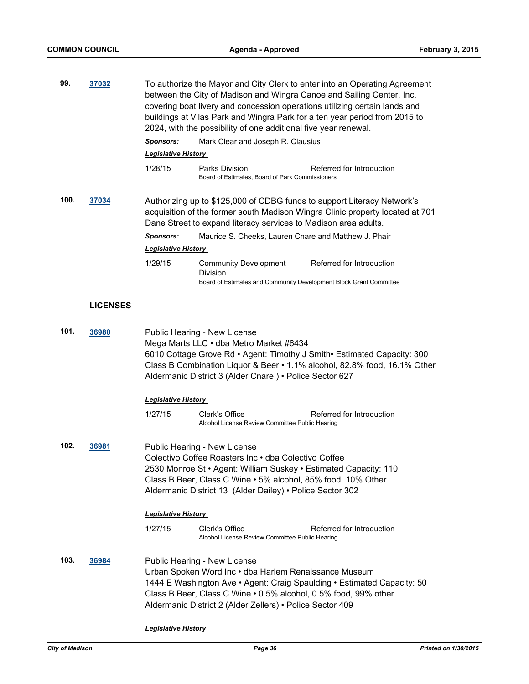| 99.  | 37032           |                                                                                                                                                                                                                                                                                             | To authorize the Mayor and City Clerk to enter into an Operating Agreement<br>between the City of Madison and Wingra Canoe and Sailing Center, Inc.<br>covering boat livery and concession operations utilizing certain lands and<br>buildings at Vilas Park and Wingra Park for a ten year period from 2015 to<br>2024, with the possibility of one additional five year renewal. |                                                                                                                                                          |  |
|------|-----------------|---------------------------------------------------------------------------------------------------------------------------------------------------------------------------------------------------------------------------------------------------------------------------------------------|------------------------------------------------------------------------------------------------------------------------------------------------------------------------------------------------------------------------------------------------------------------------------------------------------------------------------------------------------------------------------------|----------------------------------------------------------------------------------------------------------------------------------------------------------|--|
|      |                 | <b>Sponsors:</b>                                                                                                                                                                                                                                                                            | Mark Clear and Joseph R. Clausius                                                                                                                                                                                                                                                                                                                                                  |                                                                                                                                                          |  |
|      |                 | <b>Legislative History</b>                                                                                                                                                                                                                                                                  |                                                                                                                                                                                                                                                                                                                                                                                    |                                                                                                                                                          |  |
|      |                 | 1/28/15                                                                                                                                                                                                                                                                                     | Parks Division<br>Board of Estimates, Board of Park Commissioners                                                                                                                                                                                                                                                                                                                  | Referred for Introduction                                                                                                                                |  |
| 100. | 37034           |                                                                                                                                                                                                                                                                                             | Dane Street to expand literacy services to Madison area adults.                                                                                                                                                                                                                                                                                                                    | Authorizing up to \$125,000 of CDBG funds to support Literacy Network's<br>acquisition of the former south Madison Wingra Clinic property located at 701 |  |
|      |                 | <b>Sponsors:</b><br><b>Legislative History</b>                                                                                                                                                                                                                                              | Maurice S. Cheeks, Lauren Cnare and Matthew J. Phair                                                                                                                                                                                                                                                                                                                               |                                                                                                                                                          |  |
|      |                 | 1/29/15                                                                                                                                                                                                                                                                                     | <b>Community Development</b><br>Division<br>Board of Estimates and Community Development Block Grant Committee                                                                                                                                                                                                                                                                     | Referred for Introduction                                                                                                                                |  |
|      |                 |                                                                                                                                                                                                                                                                                             |                                                                                                                                                                                                                                                                                                                                                                                    |                                                                                                                                                          |  |
|      | <b>LICENSES</b> |                                                                                                                                                                                                                                                                                             |                                                                                                                                                                                                                                                                                                                                                                                    |                                                                                                                                                          |  |
| 101. | 36980           | Public Hearing - New License<br>Mega Marts LLC . dba Metro Market #6434<br>6010 Cottage Grove Rd • Agent: Timothy J Smith • Estimated Capacity: 300<br>Class B Combination Liquor & Beer • 1.1% alcohol, 82.8% food, 16.1% Other<br>Aldermanic District 3 (Alder Cnare) • Police Sector 627 |                                                                                                                                                                                                                                                                                                                                                                                    |                                                                                                                                                          |  |
|      |                 | <b>Legislative History</b>                                                                                                                                                                                                                                                                  |                                                                                                                                                                                                                                                                                                                                                                                    |                                                                                                                                                          |  |
|      |                 | 1/27/15                                                                                                                                                                                                                                                                                     | Clerk's Office<br>Alcohol License Review Committee Public Hearing                                                                                                                                                                                                                                                                                                                  | Referred for Introduction                                                                                                                                |  |
| 102. | 36981           |                                                                                                                                                                                                                                                                                             | Public Hearing - New License<br>Colectivo Coffee Roasters Inc • dba Colectivo Coffee<br>2530 Monroe St · Agent: William Suskey · Estimated Capacity: 110<br>Class B Beer, Class C Wine • 5% alcohol, 85% food, 10% Other<br>Aldermanic District 13 (Alder Dailey) • Police Sector 302                                                                                              |                                                                                                                                                          |  |
|      |                 | <b>Legislative History</b>                                                                                                                                                                                                                                                                  |                                                                                                                                                                                                                                                                                                                                                                                    |                                                                                                                                                          |  |
|      |                 | 1/27/15                                                                                                                                                                                                                                                                                     | Clerk's Office<br>Alcohol License Review Committee Public Hearing                                                                                                                                                                                                                                                                                                                  | Referred for Introduction                                                                                                                                |  |
| 103. | 36984           |                                                                                                                                                                                                                                                                                             | Public Hearing - New License<br>Urban Spoken Word Inc · dba Harlem Renaissance Museum<br>Class B Beer, Class C Wine . 0.5% alcohol, 0.5% food, 99% other<br>Aldermanic District 2 (Alder Zellers) • Police Sector 409                                                                                                                                                              | 1444 E Washington Ave • Agent: Craig Spaulding • Estimated Capacity: 50                                                                                  |  |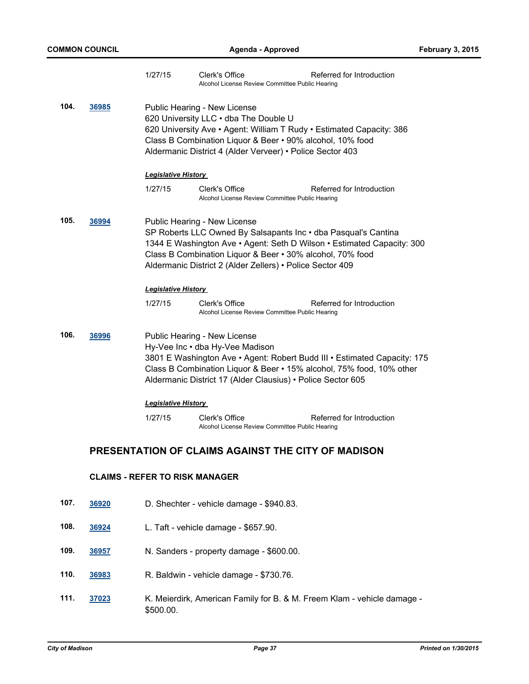|      |                                                                                                                                                                                                                                                                                             | 1/27/15                               | Clerk's Office<br>Alcohol License Review Committee Public Hearing                                                                                                                                                                                                                                  | Referred for Introduction |  |  |
|------|---------------------------------------------------------------------------------------------------------------------------------------------------------------------------------------------------------------------------------------------------------------------------------------------|---------------------------------------|----------------------------------------------------------------------------------------------------------------------------------------------------------------------------------------------------------------------------------------------------------------------------------------------------|---------------------------|--|--|
| 104. | 36985                                                                                                                                                                                                                                                                                       |                                       | Public Hearing - New License<br>620 University LLC . dba The Double U<br>620 University Ave · Agent: William T Rudy · Estimated Capacity: 386<br>Class B Combination Liquor & Beer • 90% alcohol, 10% food<br>Aldermanic District 4 (Alder Verveer) • Police Sector 403                            |                           |  |  |
|      |                                                                                                                                                                                                                                                                                             | <b>Legislative History</b>            |                                                                                                                                                                                                                                                                                                    |                           |  |  |
|      |                                                                                                                                                                                                                                                                                             | 1/27/15                               | Clerk's Office<br>Alcohol License Review Committee Public Hearing                                                                                                                                                                                                                                  | Referred for Introduction |  |  |
| 105. | 36994                                                                                                                                                                                                                                                                                       |                                       | Public Hearing - New License<br>SP Roberts LLC Owned By Salsapants Inc • dba Pasqual's Cantina<br>1344 E Washington Ave • Agent: Seth D Wilson • Estimated Capacity: 300<br>Class B Combination Liquor & Beer . 30% alcohol, 70% food<br>Aldermanic District 2 (Alder Zellers) • Police Sector 409 |                           |  |  |
|      |                                                                                                                                                                                                                                                                                             | <b>Legislative History</b>            |                                                                                                                                                                                                                                                                                                    |                           |  |  |
|      |                                                                                                                                                                                                                                                                                             | 1/27/15                               | Clerk's Office<br>Alcohol License Review Committee Public Hearing                                                                                                                                                                                                                                  | Referred for Introduction |  |  |
| 106. | Public Hearing - New License<br>36996<br>Hy-Vee Inc . dba Hy-Vee Madison<br>3801 E Washington Ave • Agent: Robert Budd III • Estimated Capacity: 175<br>Class B Combination Liquor & Beer • 15% alcohol, 75% food, 10% other<br>Aldermanic District 17 (Alder Clausius) • Police Sector 605 |                                       |                                                                                                                                                                                                                                                                                                    |                           |  |  |
|      |                                                                                                                                                                                                                                                                                             | <b>Legislative History</b>            |                                                                                                                                                                                                                                                                                                    |                           |  |  |
|      |                                                                                                                                                                                                                                                                                             | 1/27/15                               | Clerk's Office<br>Alcohol License Review Committee Public Hearing                                                                                                                                                                                                                                  | Referred for Introduction |  |  |
|      | PRESENTATION OF CLAIMS AGAINST THE CITY OF MADISON                                                                                                                                                                                                                                          |                                       |                                                                                                                                                                                                                                                                                                    |                           |  |  |
|      |                                                                                                                                                                                                                                                                                             | <b>CLAIMS - REFER TO RISK MANAGER</b> |                                                                                                                                                                                                                                                                                                    |                           |  |  |
| 107. | 36920                                                                                                                                                                                                                                                                                       |                                       | D. Shechter - vehicle damage - \$940.83.                                                                                                                                                                                                                                                           |                           |  |  |
| 108. | 36924                                                                                                                                                                                                                                                                                       |                                       | L. Taft - vehicle damage - \$657.90.                                                                                                                                                                                                                                                               |                           |  |  |
| 109. | 36957                                                                                                                                                                                                                                                                                       |                                       | N. Sanders - property damage - \$600.00.                                                                                                                                                                                                                                                           |                           |  |  |
| 110. | 36983                                                                                                                                                                                                                                                                                       |                                       | R. Baldwin - vehicle damage - \$730.76.                                                                                                                                                                                                                                                            |                           |  |  |

**111. [37023](http://madison.legistar.com/gateway.aspx?m=l&id=/matter.aspx?key=39901)** K. Meierdirk, American Family for B. & M. Freem Klam - vehicle damage - \$500.00.